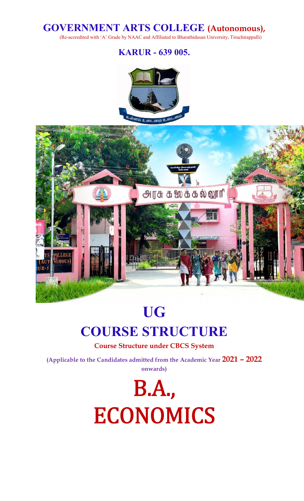# **GOVERNMENT ARTS COLLEGE (Autonomous),**

(Re-accredited with 'A' Grade by NAAC and Affiliated to Bharathidasan University, Tiruchirappalli)

**KARUR - 639 005.**



# **UG**

# **COURSE STRUCTURE**

**Course Structure under CBCS System**

**(Applicable to the Candidates admitted from the Academic Year 2021 – 2022 onwards)**

> **B.A., ECONOMICS**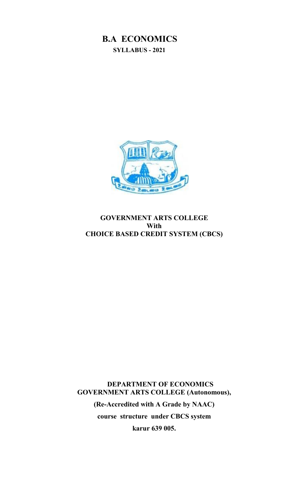### **B.A ECONOMICS SYLLABUS - 2021**



### **GOVERNMENT ARTS COLLEGE With CHOICE BASED CREDIT SYSTEM (CBCS)**

**DEPARTMENT OF ECONOMICS GOVERNMENT ARTS COLLEGE (Autonomous),**

> **(Re-Accredited with A Grade by NAAC) course structure under CBCS system karur 639 005.**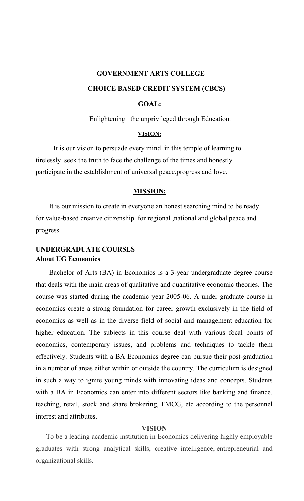# **GOVERNMENT ARTS COLLEGE CHOICE BASED CREDIT SYSTEM (CBCS)**

### **GOAL:**

Enlightening the unprivileged through Education.

#### **VISION:**

It is our vision to persuade every mind in this temple of learning to tirelessly seek the truth to face the challenge of the times and honestly participate in the establishment of universal peace,progress and love.

#### **MISSION:**

It is our mission to create in everyone an honest searching mind to be ready for value-based creative citizenship for regional ,national and global peace and progress.

### **UNDERGRADUATE COURSES About UG Economics**

Bachelor of Arts (BA) in Economics is a 3-year undergraduate degree course that deals with the main areas of qualitative and quantitative economic theories. The course was started during the academic year 2005-06. A under graduate course in economics create a strong foundation for career growth exclusively in the field of economics as well as in the diverse field of social and management education for higher education. The subjects in this course deal with various focal points of economics, contemporary issues, and problems and techniques to tackle them effectively. Students with a BA Economics degree can pursue their post-graduation in a number of areas either within or outside the country. The curriculum is designed in such a way to ignite young minds with innovating ideas and concepts. Students with a BA in Economics can enter into different sectors like banking and finance, teaching, retail, stock and share brokering, FMCG, etc according to the personnel interest and attributes.

#### **VISION**

To be a leading academic institution in Economics delivering highly employable graduates with strong analytical skills, creative intelligence, entrepreneurial and organizational skills.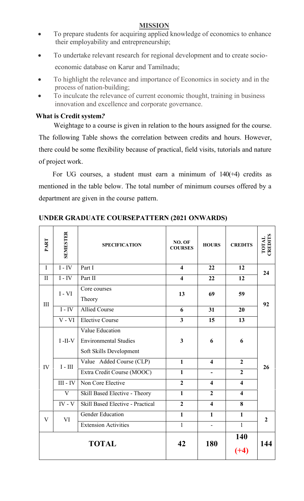### **MISSION**

- To prepare students for acquiring applied knowledge of economics to enhance their employability and entrepreneurship;
- To undertake relevant research for regional development and to create socio economic database on Karur and Tamilnadu;
- To highlight the relevance and importance of Economics in society and in the process of nation-building;
- To inculcate the relevance of current economic thought, training in business innovation and excellence and corporate governance.

### **What is Credit system***?*

Weightage to a course is given in relation to the hours assigned for the course. The following Table shows the correlation between credits and hours. However, there could be some flexibility because of practical, field visits, tutorials and nature of project work.

For UG courses, a student must earn a minimum of  $140(+4)$  credits as mentioned in the table below. The total number of minimum courses offered by a department are given in the course pattern.

| PART         | SEMESTER   | <b>SPECIFICATION</b>                                                       | NO. OF<br><b>COURSES</b> | <b>HOURS</b>             | <b>CREDITS</b>          | CREDITS<br>TOTAL |
|--------------|------------|----------------------------------------------------------------------------|--------------------------|--------------------------|-------------------------|------------------|
| $\mathbf I$  | $I - IV$   | Part I                                                                     | $\overline{\mathbf{4}}$  | 22                       | 12                      | 24               |
| $\mathbf{I}$ | $I - IV$   | Part II                                                                    | $\overline{\mathbf{4}}$  | 22                       | 12                      |                  |
| III          | $I - VI$   | Core courses<br>Theory                                                     | 13                       | 69                       | 59                      | 92               |
|              | $I - IV$   | <b>Allied Course</b>                                                       | 6                        | 31                       | 20                      |                  |
|              | $V - VI$   | <b>Elective Course</b>                                                     | $\overline{\mathbf{3}}$  | 15                       | 13                      |                  |
|              | $I$ -II-V  | Value Education<br><b>Environmental Studies</b><br>Soft Skills Development | $\overline{\mathbf{3}}$  | 6                        | 6                       |                  |
| IV           | $I - III$  | Value Added Course (CLP)                                                   | $\mathbf{1}$             | $\overline{\mathbf{4}}$  | $\boldsymbol{2}$        | 26               |
|              |            | Extra Credit Course (MOOC)                                                 | $\mathbf{1}$             | $\overline{\phantom{a}}$ | $\overline{2}$          |                  |
|              | $III - IV$ | Non Core Elective                                                          | $\overline{2}$           | $\overline{\mathbf{4}}$  | $\overline{\mathbf{4}}$ |                  |
|              | V          | Skill Based Elective - Theory                                              | $\mathbf{1}$             | $\overline{2}$           | $\overline{\mathbf{4}}$ |                  |
|              | $IV - V$   | <b>Skill Based Elective - Practical</b>                                    | $\overline{2}$           | $\overline{\mathbf{4}}$  | 8                       |                  |
| V            | VI         | <b>Gender Education</b>                                                    | $\mathbf{1}$             | $\mathbf{1}$             | $\mathbf{1}$            | $\overline{2}$   |
|              |            | <b>Extension Activities</b>                                                | $\mathbf{1}$             | $\overline{\phantom{a}}$ | $\mathbf{1}$            |                  |
|              |            | <b>TOTAL</b>                                                               | 42                       | 180                      | 140<br>$(+4)$           | 144              |

### **UNDER GRADUATE COURSEPATTERN (2021 ONWARDS)**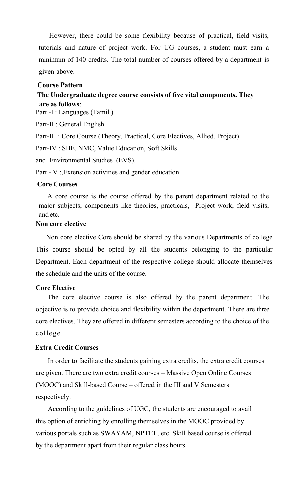However, there could be some flexibility because of practical, field visits, tutorials and nature of project work. For UG courses, a student must earn a minimum of 140 credits. The total number of courses offered by a department is given above.

#### **Course Pattern**

### **The Undergraduate degree course consists of five vital components. They are as follows**:

Part -I : Languages (Tamil)

Part-II : General English

Part-III : Core Course (Theory, Practical, Core Electives, Allied, Project)

Part-IV : SBE, NMC, Value Education, Soft Skills

and Environmental Studies (EVS).

Part - V :,Extension activities and gender education

#### **Core Courses**

A core course is the course offered by the parent department related to the major subjects, components like theories, practicals, Project work, field visits, and etc.

### **Non core elective**

Non core elective Core should be shared by the various Departments of college This course should be opted by all the students belonging to the particular Department. Each department of the respective college should allocate themselves the schedule and the units of the course.

### **Core Elective**

The core elective course is also offered by the parent department. The objective is to provide choice and flexibility within the department. There are three core electives. They are offered in different semesters according to the choice of the college .

### **Extra Credit Courses**

In order to facilitate the students gaining extra credits, the extra credit courses are given. There are two extra credit courses – Massive Open Online Courses (MOOC) and Skill-based Course – offered in the III and V Semesters respectively.

According to the guidelines of UGC, the students are encouraged to avail this option of enriching by enrolling themselves in the MOOC provided by various portals such as SWAYAM, NPTEL, etc. Skill based course is offered by the department apart from their regular class hours.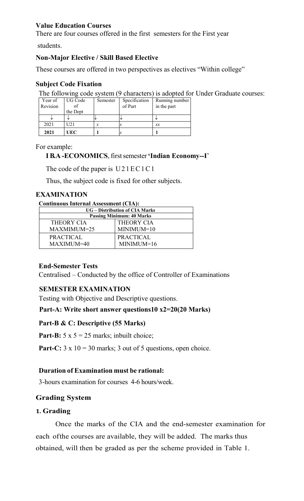### **Value Education Courses**

There are four courses offered in the first semesters for the First year

students.

### **Non-Major Elective / Skill Based Elective**

These courses are offered in two perspectives as electives "Within college"

### **Subject Code Fixation**

The following code system (9 characters) is adopted for Under Graduate courses:

| Year of  | UG Code    | Semester | Specification | Running number |
|----------|------------|----------|---------------|----------------|
| Revision |            |          | of Part       | in the part    |
|          | the Dept   |          |               |                |
|          | ۰IJ        |          |               |                |
| 2021     | U21        | х        | IJ            | x x            |
| 2021     | <b>UEC</b> |          | х             |                |

For example:

# **I B.A -ECONOMICS**, firstsemester**'Indian Economy--I**' EXECTED UECTER 1 THE CONOMICS, first semester 'Indian Economy--I'<br>The code of the paper is U2 1 E C 1 C 1<br>Thus, the subject code is fixed for other subjects.

Thus, the subject code is fixed for other subjects.

### **EXAMINATION**

| <b>Continuous Internal Assessment (CIA):</b> |  |
|----------------------------------------------|--|
|----------------------------------------------|--|

| <b>UG</b> – Distribution of CIA Marks |                   |  |  |  |  |  |  |
|---------------------------------------|-------------------|--|--|--|--|--|--|
| <b>Passing Minimum: 40 Marks</b>      |                   |  |  |  |  |  |  |
| THEORY CIA                            | <b>THEORY CIA</b> |  |  |  |  |  |  |
| MAXMIMUM=25                           | $MINIMUM=10$      |  |  |  |  |  |  |
| <b>PRACTICAL</b>                      | PRACTICAL         |  |  |  |  |  |  |
| MAXIMUM=40                            | $MINIMUM=16$      |  |  |  |  |  |  |

### **End-Semester Tests**

Centralised – Conducted by the office of Controller of Examinations

### **SEMESTER EXAMINATION**

Testing with Objective and Descriptive questions.

### **Part-A: Write short answer questions10 x2=20(20 Marks)**

### **Part-B & C: Descriptive (55 Marks)**

**Part-B:**  $5 \times 5 = 25$  marks; inbuilt choice;

**Part-C:**  $3 \times 10 = 30$  marks;  $3 \text{ out of } 5$  questions, open choice.

### **Duration of Examination must be rational:**

3-hours examination for courses 4-6 hours/week.

### **Grading System**

### **1. Grading**

Once the marks of the CIA and the end-semester examination for each ofthe courses are available, they will be added. The marks thus obtained, will then be graded as per the scheme provided in Table 1.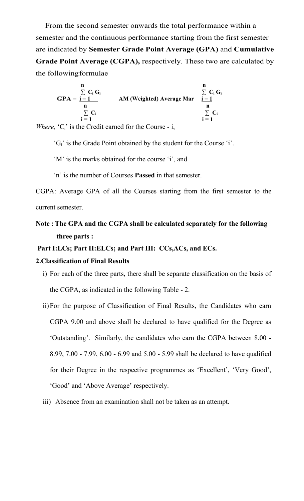From the second semester onwards the total performance within a semester and the continuous performance starting from the first semester are indicated by **Semester Grade Point Average (GPA)** and **Cumulative Grade Point Average (CGPA),** respectively. These two are calculated by the followingformulae

$$
GPA = \frac{\sum_{i=1}^{n} C_i G_i}{\sum_{i=1}^{n} C_i}
$$
AM (Weighted) Average Mar  $\frac{\sum_{i=1}^{n} C_i G_i}{\sum_{i=1}^{n} C_i}$   
  $\sum_{i=1}^{n} C_i$ 

*Where,*  ${}^{\circ}C_i$  is the Credit earned for the Course - i,

'Gi' is the Grade Point obtained by the student for the Course 'i'.

'M' is the marks obtained for the course 'i', and

'n' is the number of Courses **Passed** in that semester.

CGPA: Average GPA of all the Courses starting from the first semester to the current semester.

**Note : The GPA and the CGPA shall be calculated separately for the following three parts :**

#### **Part I:LCs; Part II:ELCs; and Part III: CCs,ACs, and ECs.**

#### **2.Classification of Final Results**

- i) For each of the three parts, there shall be separate classification on the basis of the CGPA, as indicated in the following Table - 2.
- ii)For the purpose of Classification of Final Results, the Candidates who earn CGPA 9.00 and above shall be declared to have qualified for the Degree as 'Outstanding'. Similarly, the candidates who earn the CGPA between 8.00 - 8.99, 7.00 - 7.99, 6.00 - 6.99 and 5.00 - 5.99 shall be declared to have qualified for their Degree in the respective programmes as 'Excellent', 'Very Good', 'Good' and 'Above Average' respectively.
- iii) Absence from an examination shall not be taken as an attempt.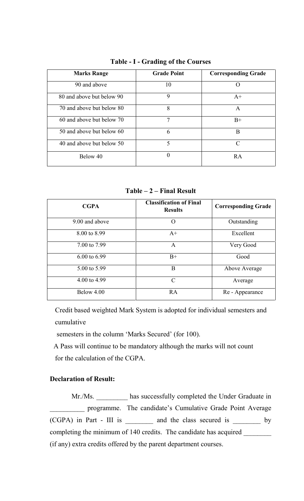| <b>Grade Point</b> | <b>Corresponding Grade</b> |
|--------------------|----------------------------|
| 10                 | $\Omega$                   |
| 9                  | $A+$                       |
| 8                  | A                          |
| 7                  | $B+$                       |
| 6                  | B                          |
| 5                  | C                          |
| 0                  | RA                         |
|                    |                            |

**Table - I - Grading of the Courses**

**Table – 2 – Final Result**

| <b>CGPA</b>    | <b>Classification of Final</b><br><b>Results</b> | <b>Corresponding Grade</b> |
|----------------|--------------------------------------------------|----------------------------|
| 9.00 and above | $\Omega$                                         | Outstanding                |
| 8.00 to 8.99   | $A+$                                             | Excellent                  |
| 7.00 to 7.99   | A                                                | Very Good                  |
| 6.00 to 6.99   | $B+$                                             | Good                       |
| 5.00 to 5.99   | B                                                | Above Average              |
| 4.00 to 4.99   | $\mathcal{C}$                                    | Average                    |
| Below 4.00     | <b>RA</b>                                        | Re - Appearance            |

Credit based weighted Mark System is adopted for individual semesters and cumulative

semesters in the column 'Marks Secured' (for 100).

A Pass will continue to be mandatory although the marks will not count for the calculation of the CGPA.

### **Declaration of Result:**

Mr./Ms. \_\_\_\_\_\_\_\_\_\_ has successfully completed the Under Graduate in programme. The candidate's Cumulative Grade Point Average (CGPA) in Part - III is \_\_\_\_\_\_\_\_ and the class secured is \_\_\_\_\_\_\_\_ by completing the minimum of 140 credits. The candidate has acquired \_\_\_\_\_\_\_\_\_\_\_\_\_\_ (if any) extra credits offered by the parent department courses.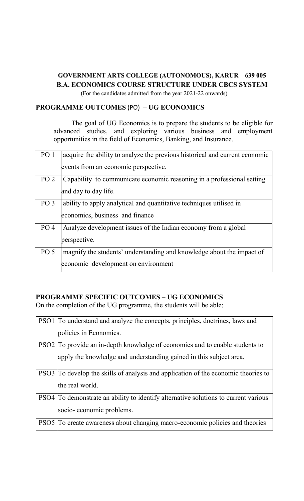### **GOVERNMENT ARTS COLLEGE (AUTONOMOUS), KARUR – 639 005 B.A. ECONOMICS COURSE STRUCTURE UNDER CBCS SYSTEM**

(For the candidates admitted from the year 2021-22 onwards)

### **PROGRAMME OUTCOMES** (PO) **– UG ECONOMICS**

The goal of UG Economics is to prepare the students to be eligible for advanced studies, and exploring various business and employment opportunities in the field of Economics, Banking, and Insurance.

| PO <sub>1</sub> | acquire the ability to analyze the previous historical and current economic |
|-----------------|-----------------------------------------------------------------------------|
|                 | events from an economic perspective.                                        |
| PO <sub>2</sub> | Capability to communicate economic reasoning in a professional setting      |
|                 | and day to day life.                                                        |
| PO <sub>3</sub> | ability to apply analytical and quantitative techniques utilised in         |
|                 | economics, business and finance                                             |
| PO <sub>4</sub> | Analyze development issues of the Indian economy from a global              |
|                 | perspective.                                                                |
| PO <sub>5</sub> | magnify the students' understanding and knowledge about the impact of       |
|                 | economic development on environment                                         |

### **PROGRAMME SPECIFIC OUTCOMES – UG ECONOMICS**

On the completion of the UG programme, the students will be able;

|                  | PSO1 To understand and analyze the concepts, principles, doctrines, laws and<br>policies in Economics.                                        |
|------------------|-----------------------------------------------------------------------------------------------------------------------------------------------|
| PSO <sub>2</sub> | To provide an in-depth knowledge of economics and to enable students to<br>apply the knowledge and understanding gained in this subject area. |
| PSO <sub>3</sub> | To develop the skills of analysis and application of the economic theories to<br>the real world.                                              |
|                  | PSO4 To demonstrate an ability to identify alternative solutions to current various<br>socio-economic problems.                               |
|                  | PSO5 To create awareness about changing macro-economic policies and theories                                                                  |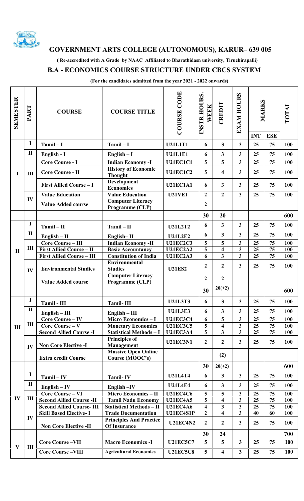

### **GOVERNMENT ARTS COLLEGE (AUTONOMOUS), KARUR– 639 005**

**( Re-accredited with A Grade by NAAC Affiliated to Bharathidasn university, Tiruchirapalli)**

### **B.A - ECONOMICS COURSE STRUCTURE UNDER CBCS SYSTEM**

**(For the candidates admitted from the year 2021 - 2022 onwards)**

| SEMESTER       | <b>PART</b>  | <b>COURSE</b>                    | <b>COURSE TITLE</b>                                           | <b>COURSE CODE</b> | <b>INSTR HOURS.</b><br>WEEK               | CREDIT                                             | <b>EXAM HOURS</b>            | <b>MARKS</b><br><b>INT</b> | <b>ESE</b> | TOTAL      |
|----------------|--------------|----------------------------------|---------------------------------------------------------------|--------------------|-------------------------------------------|----------------------------------------------------|------------------------------|----------------------------|------------|------------|
|                | 1            | $Tamil - I$                      | $Tamil-I$                                                     | <b>U21L1T1</b>     | 6                                         | $\overline{\mathbf{3}}$                            | $\overline{3}$               | 25                         | 75         | 100        |
|                | $\mathbf{I}$ | English - I                      | $English - I$                                                 | <b>U21L1E1</b>     | 6                                         | $\overline{\mathbf{3}}$                            | $\overline{3}$               | 25                         | 75         | 100        |
|                |              | <b>Core Course - I</b>           | <b>Indian Economy-I</b>                                       | <b>U21EC1C1</b>    | 5                                         | 5                                                  | $\overline{3}$               | 25                         | 75         | 100        |
| I              | III          | Core Course - II                 | <b>History of Economic</b><br><b>Thought</b>                  | <b>U21EC1C2</b>    | 5                                         | 4                                                  | $\mathbf{3}$                 | 25                         | 75         | 100        |
|                |              | <b>First Allied Course - I</b>   | <b>Development</b><br><b>Economics</b>                        | <b>U21EC1A1</b>    | 6                                         | $\overline{\mathbf{3}}$                            | $\mathbf{3}$                 | 25                         | 75         | 100        |
|                |              | <b>Value Education</b>           | <b>Value Education</b>                                        | <b>U21VE1</b>      | $\mathbf{2}$                              | $\overline{2}$                                     | $\mathbf{3}$                 | 25                         | 75         | 100        |
|                | IV           | <b>Value Added course</b>        | <b>Computer Literacy</b><br>Programme (CLP)                   |                    | 2                                         |                                                    |                              |                            |            |            |
|                |              |                                  |                                                               |                    | 30                                        | 20                                                 |                              |                            |            | 600        |
|                | I            | $Tami - II$                      | $Tami - II$                                                   | <b>U21L2T2</b>     | 6                                         | $\overline{\mathbf{3}}$                            | $\overline{3}$               | 25                         | 75         | 100        |
|                | $\mathbf{I}$ | $English - II$                   | English-II                                                    | <b>U21L2E2</b>     | 6                                         | 3                                                  | 3                            | 25                         | 75         | 100        |
|                |              | <b>Core Course - III</b>         | <b>Indian Economy -II</b>                                     | <b>U21EC2C3</b>    | 5                                         | 5                                                  | 3                            | 25                         | 75         | 100        |
| $\mathbf{I}$   | Ш            | <b>First Allied Course - II</b>  | <b>Basic Accountancy</b>                                      | <b>U21EC2A2</b>    | 5                                         | $\overline{\mathbf{4}}$                            | 3                            | 25                         | 75         | 100        |
|                |              | <b>First Allied Course - III</b> | <b>Constitution of India</b>                                  | <b>U21EC2A3</b>    | 6                                         | $\overline{\mathbf{3}}$                            | $\overline{\mathbf{3}}$      | 25                         | 75         | 100        |
|                | IV           | <b>Environmental Studies</b>     | <b>Environmental</b><br><b>Studies</b>                        | <b>U21ES2</b>      | $\overline{2}$                            | $\mathbf{2}$                                       | $\mathbf{3}$                 | 25                         | 75         | 100        |
|                |              | <b>Value Added course</b>        | <b>Computer Literacy</b><br>Programme (CLP)                   |                    | $\overline{2}$                            | $\overline{2}$                                     |                              |                            |            |            |
|                |              |                                  |                                                               |                    | 30                                        | $20(+2)$                                           |                              |                            |            | 600        |
|                | $\mathbf I$  | Tamil - III                      | <b>Tamil-III</b>                                              | <b>U21L3T3</b>     | 6                                         | 3                                                  | $\mathbf{3}$                 | 25                         | 75         | 100        |
|                | $\mathbf{I}$ | $English - III$                  | $English - III$                                               | <b>U21L3E3</b>     | 6                                         | 3                                                  | 3                            | 25                         | 75         | 100        |
|                |              | <b>Core Course - IV</b>          | <b>Micro Economics-I</b>                                      | <b>U21EC3C4</b>    | 6                                         | 5                                                  | 3                            | 25                         | 75         | 100        |
| $\mathbf{III}$ | Ш            | Core Course - V                  | <b>Monetary Economics</b>                                     | <b>U21EC3C5</b>    | 5                                         | $\overline{\mathbf{4}}$                            | $\overline{\mathbf{3}}$      | 25                         | 75         | 100        |
|                |              | <b>Second Allied Course -I</b>   | <b>Statistical Methods - I</b>                                | <b>U21EC3A4</b>    | 5                                         | $\overline{\mathbf{3}}$                            | $\overline{3}$               | 25                         | 75         | 100        |
|                | IV           | <b>Non Core Elective -I</b>      | <b>Principles of</b><br>Management                            | <b>U21EC3N1</b>    | $\mathbf{2}$                              | $\overline{2}$                                     | $\mathbf{3}$                 | 25                         | 75         | 100        |
|                |              | <b>Extra credit Course</b>       | <b>Massive Open Online</b><br>Course (MOOC's)                 |                    |                                           | (2)                                                |                              |                            |            |            |
|                |              |                                  |                                                               |                    | 30                                        | $20(+2)$                                           |                              |                            |            | 600        |
|                | 1            | $Tami-IV$                        | <b>Tamil-IV</b>                                               | <b>U21L4T4</b>     | 6                                         | 3                                                  | $\mathbf{3}$                 | 25                         | 75         | 100        |
|                | $\mathbf{I}$ | $English - IV$                   | English-IV                                                    | <b>U21L4E4</b>     | 6                                         | 3                                                  | 3                            | 25                         | 75         | 100        |
|                |              | <b>Core Course - VI</b>          | <b>Micro Economics - II</b>                                   | <b>U21EC4C6</b>    | 5                                         | 5                                                  | 3                            | 25                         | 75         | 100        |
| IV             | Ш            | <b>Second Allied Course -II</b>  | <b>Tamil Nadu Economy</b>                                     | <b>U21EC4A5</b>    | 5                                         | 4                                                  | 3                            | 25                         | 75         | 100        |
|                |              | <b>Second Allied Course-III</b>  | <b>Statistical Methods - II</b><br><b>Trade Documentation</b> | <b>U21EC4A6</b>    | $\overline{\mathbf{4}}$<br>$\overline{2}$ | $\overline{\mathbf{3}}$<br>$\overline{\mathbf{4}}$ | 3<br>$\overline{\mathbf{3}}$ | 25<br>40                   | 75<br>60   | 100<br>100 |
|                | IV           | <b>Skill Based Elective-I</b>    | <b>Principles And Practice</b>                                | U21EC4S1P          |                                           |                                                    |                              |                            |            |            |
|                |              | <b>Non Core Elective -II</b>     | <b>Of Insurance</b>                                           | <b>U21EC4N2</b>    | $\overline{2}$                            | $\mathbf{2}$                                       | 3                            | 25                         | 75         | 100        |
|                |              |                                  |                                                               |                    | 30                                        | 24                                                 |                              |                            |            | 700        |
| $\mathbf{V}$   | Ш            | <b>Core Course-VII</b>           | <b>Macro Economics -I</b>                                     | <b>U21EC5C7</b>    | 5                                         | 5                                                  | $\mathbf{3}$                 | 25                         | 75         | 100        |
|                |              | <b>Core Course-VIII</b>          | <b>Agricultural Economics</b>                                 | <b>U21EC5C8</b>    | 5                                         | $\overline{\mathbf{4}}$                            | 3                            | 25                         | 75         | 100        |
|                |              |                                  |                                                               |                    |                                           |                                                    |                              |                            |            |            |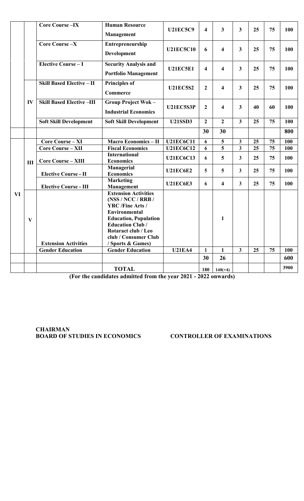|    |     | <b>Core Course-IX</b>            | <b>Human Resource</b><br>Management                                                                                                                                                                                               | <b>U21EC5C9</b>                | $\overline{\mathbf{4}}$ | 3                       | $\mathbf{3}$            | 25 | 75 | 100  |
|----|-----|----------------------------------|-----------------------------------------------------------------------------------------------------------------------------------------------------------------------------------------------------------------------------------|--------------------------------|-------------------------|-------------------------|-------------------------|----|----|------|
|    |     | Core Course -X                   | Entrepreneurship<br><b>Development</b>                                                                                                                                                                                            | <b>U21EC5C10</b>               | 6                       | $\overline{\mathbf{4}}$ | $\mathbf{3}$            | 25 | 75 | 100  |
|    |     | <b>Elective Course - I</b>       | <b>Security Analysis and</b><br><b>Portfolio Management</b>                                                                                                                                                                       | <b>U21EC5E1</b>                | $\overline{\mathbf{4}}$ | $\overline{\mathbf{4}}$ | $\mathbf{3}$            | 25 | 75 | 100  |
|    |     | <b>Skill Based Elective - II</b> | <b>Principles of</b><br><b>Commerce</b>                                                                                                                                                                                           | <b>U21EC5S2</b>                | $\mathbf{2}$            | $\overline{\mathbf{4}}$ | $\mathbf{3}$            | 25 | 75 | 100  |
|    | IV  | <b>Skill Based Elective-III</b>  | <b>Group Project Wok-</b><br><b>Industrial Economics</b>                                                                                                                                                                          | <b>U21EC5S3P</b>               | $\overline{2}$          | $\overline{\mathbf{4}}$ | $\overline{\mathbf{3}}$ | 40 | 60 | 100  |
|    |     | <b>Soft Skill Development</b>    | <b>Soft Skill Development</b>                                                                                                                                                                                                     | <b>U21SSD3</b>                 | $\overline{2}$          | $\overline{2}$          | $\overline{\mathbf{3}}$ | 25 | 75 | 100  |
|    |     |                                  |                                                                                                                                                                                                                                   |                                | 30                      | 30                      |                         |    |    | 800  |
|    |     | <b>Core Course - XI</b>          | <b>Macro Economics - II</b>                                                                                                                                                                                                       | <b>U21EC6C11</b>               | 6                       | 5                       | $\mathbf{3}$            | 25 | 75 | 100  |
|    | III | <b>Core Course - XII</b>         | <b>Fiscal Economics</b>                                                                                                                                                                                                           | $\overline{\text{U2}}$ 1EC6C12 | 6                       | 5                       | $\mathbf{3}$            | 25 | 75 | 100  |
|    |     | <b>Core Course - XIII</b>        | <b>International</b><br><b>Economics</b>                                                                                                                                                                                          | <b>U21EC6C13</b>               | 6                       | 5                       | $\mathbf{3}$            | 25 | 75 | 100  |
|    |     | <b>Elective Course - II</b>      | Managerial<br><b>Economics</b>                                                                                                                                                                                                    | <b>U21EC6E2</b>                | 5                       | 5                       | $\mathbf{3}$            | 25 | 75 | 100  |
|    |     | <b>Elective Course - III</b>     | <b>Marketing</b><br>Management                                                                                                                                                                                                    | <b>U21EC6E3</b>                | 6                       | $\overline{\mathbf{4}}$ | $\mathbf{3}$            | 25 | 75 | 100  |
| VI | V   | <b>Extension Activities</b>      | <b>Extension Activities</b><br>(NS / NCC / RRB /<br><b>YRC</b> /Fine Arts /<br><b>Environmental</b><br><b>Education, Population</b><br><b>Education Club/</b><br>Rotaract club / Leo<br>club / Consumer Club<br>/ Sports & Games) |                                |                         | $\mathbf{1}$            |                         |    |    |      |
|    |     | <b>Gender Education</b>          | <b>Gender Education</b>                                                                                                                                                                                                           | <b>U21EA4</b>                  | $\mathbf{1}$            | $\mathbf{1}$            | $\overline{3}$          | 25 | 75 | 100  |
|    |     |                                  |                                                                                                                                                                                                                                   |                                | 30                      | 26                      |                         |    |    | 600  |
|    |     |                                  | <b>TOTAL</b>                                                                                                                                                                                                                      |                                | 180                     | $140(+4)$               |                         |    |    | 3900 |
|    |     |                                  |                                                                                                                                                                                                                                   |                                |                         |                         |                         |    |    |      |

**(For the candidates admitted from the year 2021 - 2022 onwards)**

**CHAIRMAN BOARD OF STUDIES IN ECONOMICS CONTROLLER OF EXAMINATIONS**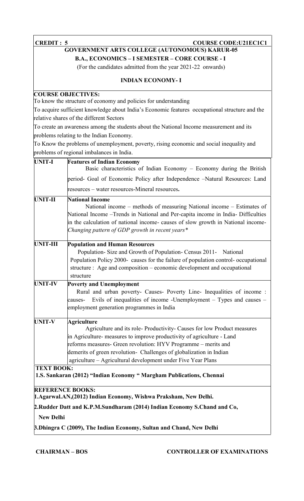**CREDIT : 5 COURSE CODE:U21EC1C1** 

#### **GOVERNMENT ARTS COLLEGE (AUTONOMOUS) KARUR-05 B.A., ECONOMICS – I SEMESTER – CORE COURSE - I**

(For the candidates admitted from the year 2021-22 onwards)

#### **INDIAN ECONOMY- I**

#### **COURSE OBJECTIVES:**

To know the structure of economy and policies for understanding

To acquire sufficient knowledge about India's Economic features occupational structure and the relative shares of the different Sectors

To create an awareness among the students about the National Income measurement and its problems relating to the Indian Economy.

To Know the problems of unemployment, poverty, rising economic and social inequality and problems of regional imbalances in India.

| <b>UNIT-I</b>     | <b>Features of Indian Economy</b><br>Basic characteristics of Indian Economy - Economy during the British                                                                                                                                                                                                                                                                        |
|-------------------|----------------------------------------------------------------------------------------------------------------------------------------------------------------------------------------------------------------------------------------------------------------------------------------------------------------------------------------------------------------------------------|
|                   | period- Goal of Economic Policy after Independence -Natural Resources: Land                                                                                                                                                                                                                                                                                                      |
|                   | resources – water resources-Mineral resources.                                                                                                                                                                                                                                                                                                                                   |
| <b>UNIT-II</b>    | <b>National Income</b><br>National income – methods of measuring National income – Estimates of<br>National Income - Trends in National and Per-capita income in India- Difficulties<br>in the calculation of national income- causes of slow growth in National income-<br>Changing pattern of GDP growth in recent years*                                                      |
| <b>UNIT-III</b>   | <b>Population and Human Resources</b><br>Population-Size and Growth of Population-Census 2011-<br>National<br>Population Policy 2000- causes for the failure of population control- occupational<br>structure : Age and composition – economic development and occupational<br>structure                                                                                         |
| <b>UNIT-IV</b>    | <b>Poverty and Unemployment</b><br>Rural and urban poverty- Causes- Poverty Line- Inequalities of income:<br>Evils of inequalities of income -Unemployment $-$ Types and causes $-$<br>causes-<br>employment generation programmes in India                                                                                                                                      |
| <b>UNIT-V</b>     | <b>Agriculture</b><br>Agriculture and its role- Productivity- Causes for low Product measures<br>in Agriculture- measures to improve productivity of agriculture - Land<br>reforms measures- Green revolution: HYV Programme – merits and<br>demerits of green revolution- Challenges of globalization in Indian<br>agriculture - Agricultural development under Five Year Plans |
| <b>TEXT BOOK:</b> | 1.S. Sankaran (2012) "Indian Economy " Margham Publications, Chennai                                                                                                                                                                                                                                                                                                             |
|                   | <b>REFERENCE BOOKS:</b><br>1. Agarwal. AN, (2012) Indian Economy, Wishwa Praksham, New Delhi.                                                                                                                                                                                                                                                                                    |
|                   | 2. Rudder Datt and K.P.M. Sundharam (2014) Indian Economy S. Chand and Co,                                                                                                                                                                                                                                                                                                       |
| <b>New Delhi</b>  |                                                                                                                                                                                                                                                                                                                                                                                  |
|                   |                                                                                                                                                                                                                                                                                                                                                                                  |

**3.Dhingra C (2009), The Indian Economy, Sultan and Chand, New Delhi**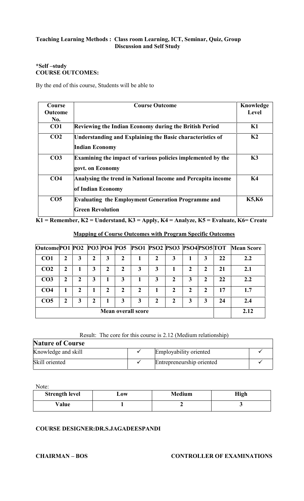#### **\*Self –study COURSE OUTCOMES:**

By the end of this course, Students will be able to

| Course          | <b>Course Outcome</b>                                                                | Knowledge      |
|-----------------|--------------------------------------------------------------------------------------|----------------|
| <b>Outcome</b>  |                                                                                      | Level          |
| No.             |                                                                                      |                |
| CO <sub>1</sub> | <b>Reviewing the Indian Economy during the British Period</b>                        | K1             |
| CO <sub>2</sub> | Understanding and Explaining the Basic characteristics of<br><b>Indian Economy</b>   | K <sub>2</sub> |
| CO <sub>3</sub> | Examining the impact of various policies implemented by the<br>govt. on Economy      | K3             |
| CO <sub>4</sub> | Analysing the trend in National Income and Percapita income<br>of Indian Economy     | <b>K4</b>      |
| CO <sub>5</sub> | <b>Evaluating the Employment Generation Programme and</b><br><b>Green Revolution</b> | <b>K5,K6</b>   |

**K1 = Remember, K2 = Understand, K3 = Apply, K4 = Analyze, K5 = Evaluate, K6= Create**

# **OutcomePO1 PO2 PO3 PO4 PO5 PSO1 PSO2 PSO3 PSO4PSO5 TOT Mean Score**  $\textbf{CO1}$  | 2 | 3 | 2 | 3 | 2 | 1 | 2 | 3 | 1 | 3 | 22 | 2.2  $\textbf{CO2}$  | 2 | 1 | 3 | 2 | 2 | 3 | 3 | 1 | 2 | 2 | 21 | 2.1 **CO3 2 2 3 1 3 1 3 2 3 2 22 2.2**  $C$ **CO4**  $\vert$  **1**  $\vert$  **2**  $\vert$  **1**  $\vert$  **2**  $\vert$  **2**  $\vert$  **2**  $\vert$  **2**  $\vert$  **2**  $\vert$  **2**  $\vert$  **17**  $\vert$  **1.7**  $\vert$  $\textbf{COS}$  | 2 | 3 | 2 | 1 | 3 | 3 | 2 | 2 | 3 | 3 | 24 | 2.4 **Mean overall score** 2.12

#### **Mapping of Course Outcomes with Program Specific Outcomes**

#### Result: The core for this course is 2.12 (Medium relationship)

| <b>Nature of Course</b> |                           |  |
|-------------------------|---------------------------|--|
| Knowledge and skill     | Employability oriented    |  |
| Skill oriented          | Entrepreneurship oriented |  |

Note:

| <b>Strength level</b> | $\mathbf{J}$ ow | <b>Medium</b> | High |
|-----------------------|-----------------|---------------|------|
| Value                 |                 |               |      |

#### **COURSE DESIGNER:DR.S.JAGADEESPANDI**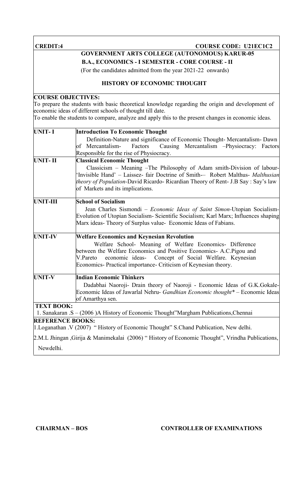#### **CREDIT:4 COURSE COURSE CODE: U21EC1C2**

### **GOVERNMENT ARTS COLLEGE (AUTONOMOUS) KARUR-05**

**B.A., ECONOMICS - I SEMESTER - CORE COURSE - II**

(For the candidates admitted from the year 2021-22 onwards)

#### **HISTORY OF ECONOMIC THOUGHT**

#### **COURSE OBJECTIVES:**

To prepare the students with basic theoretical knowledge regarding the origin and development of economic ideas of different schools of thought till date.

To enable the students to compare, analyze and apply this to the present changes in economic ideas.

| <b>UNIT-I</b>           | <b>Introduction To Economic Thought</b>                                                         |
|-------------------------|-------------------------------------------------------------------------------------------------|
|                         | Definition-Nature and significance of Economic Thought- Mercantalism- Dawn                      |
|                         | of Mercantalism-<br>Factors<br>Causing Mercantalism -Physiocracy: Factors                       |
|                         | Responsible for the rise of Physiocracy.                                                        |
| <b>UNIT-II</b>          | <b>Classical Economic Thought</b>                                                               |
|                         | Classicism - Meaning -The Philosophy of Adam smith-Division of labour-                          |
|                         | 'Invisible Hand' - Laissez- fair Doctrine of Smith- Robert Malthus- Malthusian                  |
|                         | <i>theory of Population-David Ricardo-Ricardian Theory of Rent- J.B Say: Say's law</i>          |
|                         | of Markets and its implications.                                                                |
| <b>UNIT-III</b>         | <b>School of Socialism</b>                                                                      |
|                         | Jean Charles Sismondi - Economic Ideas of Saint Simon-Utopian Socialism-                        |
|                         | Evolution of Utopian Socialism-Scientific Socialism; Karl Marx; Influences shaping              |
|                         | Marx ideas- Theory of Surplus value- Economic Ideas of Fabians.                                 |
| <b>UNIT-IV</b>          | <b>Welfare Economics and Keynesian Revolution</b>                                               |
|                         | Welfare School- Meaning of Welfare Economics- Difference                                        |
|                         | between the Welfare Economics and Positive Economics- A.C.Pigou and                             |
|                         | economic ideas- Concept of Social Welfare. Keynesian<br>V.Pareto                                |
|                         | Economics- Practical importance- Criticism of Keynesian theory.                                 |
| <b>UNIT-V</b>           | <b>Indian Economic Thinkers</b>                                                                 |
|                         | Dadabhai Naoroji- Drain theory of Naoroji - Economic Ideas of G.K.Gokale-                       |
|                         | Economic Ideas of Jawarlal Nehru- Gandhian Economic thought* - Economic Ideas                   |
|                         | of Amarthya sen.                                                                                |
| <b>TEXT BOOK:</b>       |                                                                                                 |
|                         | 1. Sanakaran .S - (2006 )A History of Economic Thought"Margham Publications, Chennai            |
| <b>REFERENCE BOOKS:</b> |                                                                                                 |
|                         | 1. Loganathan . V (2007) "History of Economic Thought" S. Chand Publication, New delhi.         |
|                         | 2.M.L Jhingan, Girija & Manimekalai (2006) "History of Economic Thought", Vrindha Publications, |
| Newdelhi.               |                                                                                                 |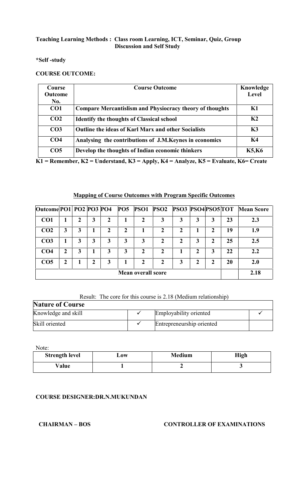#### **\*Self -study**

#### **COURSE OUTCOME:**

| Course          | <b>Course Outcome</b>                                           | Knowledge      |
|-----------------|-----------------------------------------------------------------|----------------|
| <b>Outcome</b>  |                                                                 | Level          |
| No.             |                                                                 |                |
| CO <sub>1</sub> | <b>Compare Mercantislism and Physiocracy theory of thoughts</b> | K1             |
| CO <sub>2</sub> | <b>Identify the thoughts of Classical school</b>                | K <sub>2</sub> |
| CO <sub>3</sub> | <b>Outline the ideas of Karl Marx and other Socialists</b>      | K3             |
| CO <sub>4</sub> | Analysing the contributions of J.M.Keynes in economics          | K4             |
| CO <sub>5</sub> | Develop the thoughts of Indian economic thinkers                | <b>K5,K6</b>   |

**K1 = Remember, K2 = Understand, K3 = Apply, K4 = Analyze, K5 = Evaluate, K6= Create**

#### **Mapping of Course Outcomes with Program Specific Outcomes**

| Outcome PO1 PO2 PO3 PO4 |                           |   |   |   | <b>PO5</b> |   | <b>PSO1 PSO2 PSO3 PSO4 PSO5 TOT</b> |   |   |              |    | <b>Mean Score</b> |
|-------------------------|---------------------------|---|---|---|------------|---|-------------------------------------|---|---|--------------|----|-------------------|
| CO <sub>1</sub>         |                           |   | 3 | 2 |            |   | 3                                   | 3 | 3 | 3            | 23 | 2.3               |
| CO <sub>2</sub>         | 3                         | 3 |   |   |            |   | 2                                   |   |   |              | 19 | 1.9               |
| CO <sub>3</sub>         |                           | 3 | 3 | 3 | 3          | 3 | $\boldsymbol{2}$                    | 2 | 3 | 2            | 25 | 2.5               |
| CO <sub>4</sub>         | ን                         | 3 |   | 3 | 3          | 2 | 2                                   |   | 2 | 3            | 22 | 2.2               |
| CO <sub>5</sub>         | 2                         |   | 2 | 3 |            | 2 | 2                                   | 3 | 2 | $\mathbf{2}$ | 20 | 2.0               |
|                         | <b>Mean overall score</b> |   |   |   |            |   |                                     |   |   | 2.18         |    |                   |

#### Result: The core for this course is 2.18 (Medium relationship)

| <b>Nature of Course</b> |                           |  |
|-------------------------|---------------------------|--|
| Knowledge and skill     | Employability oriented    |  |
| Skill oriented          | Entrepreneurship oriented |  |

Note:

| <b>Strength level</b> | 10W | <b>Medium</b> | High |
|-----------------------|-----|---------------|------|
| Value                 |     |               |      |

#### **COURSE DESIGNER:DR.N.MUKUNDAN**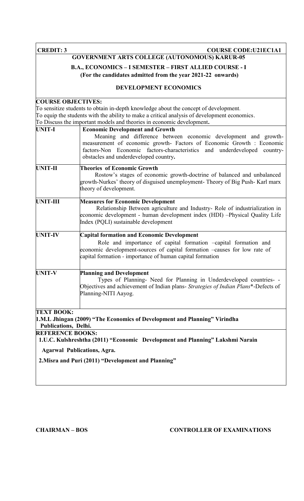**CREDIT: 3 COURSE CODE:U21EC1A1** 

### **GOVERNMENT ARTS COLLEGE (AUTONOMOUS) KARUR-05**

#### **B.A., ECONOMICS – I SEMESTER – FIRST ALLIED COURSE - I (For the candidates admitted from the year 2021-22 onwards)**

#### **DEVELOPMENT ECONOMICS**

| <b>COURSE OBJECTIVES:</b>                 |                                                                                                                                                                                                                                                                                                            |
|-------------------------------------------|------------------------------------------------------------------------------------------------------------------------------------------------------------------------------------------------------------------------------------------------------------------------------------------------------------|
|                                           | To sensitize students to obtain in-depth knowledge about the concept of development.                                                                                                                                                                                                                       |
|                                           | To equip the students with the ability to make a critical analysis of development economics.                                                                                                                                                                                                               |
|                                           | To Discuss the important models and theories in economic development.                                                                                                                                                                                                                                      |
| <b>UNIT-I</b>                             | <b>Economic Development and Growth</b><br>Meaning and difference between economic development and growth-<br>measurement of economic growth- Factors of Economic Growth : Economic<br>factors-Non Economic factors-characteristics and underdeveloped<br>country-<br>obstacles and underdeveloped country. |
| <b>UNIT-II</b>                            | <b>Theories of Economic Growth</b><br>Rostow's stages of economic growth-doctrine of balanced and unbalanced<br>growth-Nurkes' theory of disguised unemployment- Theory of Big Push- Karl marx<br>theory of development.                                                                                   |
| UNIT-III                                  | <b>Measures for Economic Development</b><br>Relationship Between agriculture and Industry-Role of industrialization in<br>economic development - human development index (HDI) -Physical Quality Life<br>Index (PQLI) sustainable development                                                              |
| <b>UNIT-IV</b>                            | <b>Capital formation and Economic Development</b><br>Role and importance of capital formation -capital formation and<br>economic development-sources of capital formation -causes for low rate of<br>capital formation - importance of human capital formation                                             |
| <b>UNIT-V</b>                             | <b>Planning and Development</b><br>Types of Planning- Need for Planning in Underdeveloped countries- -<br>Objectives and achievement of Indian plans- Strategies of Indian Plans*-Defects of<br>Planning-NITI Aayog.                                                                                       |
| <b>TEXT BOOK:</b><br>Publications, Delhi. | 1.M.L Jhingan (2009) "The Economics of Development and Planning" Virindha                                                                                                                                                                                                                                  |
| <b>REFERENCE BOOKS:</b>                   |                                                                                                                                                                                                                                                                                                            |
|                                           | 1.U.C. Kulshreshtha (2011) "Economic Development and Planning" Lakshmi Narain<br><b>Agarwal Publications, Agra.</b>                                                                                                                                                                                        |
|                                           | 2. Misra and Puri (2011) "Development and Planning"                                                                                                                                                                                                                                                        |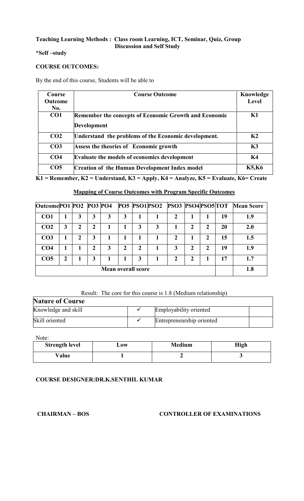#### **\*Self –study**

#### **COURSE OUTCOMES:**

By the end of this course, Students will be able to

| Course          | <b>Course Outcome</b>                                 | Knowledge      |
|-----------------|-------------------------------------------------------|----------------|
| <b>Outcome</b>  |                                                       | Level          |
| No.             |                                                       |                |
| CO1             | Remember the concepts of Economic Growth and Economic | K1             |
|                 | <b>Development</b>                                    |                |
| CO <sub>2</sub> | Understand the problems of the Economic development.  | K <sub>2</sub> |
| CO <sub>3</sub> | Assess the theories of Economic growth                | K3             |
| CO <sub>4</sub> | <b>Evaluate the models of economics development</b>   | K4             |
| CO <sub>5</sub> | <b>Creation of the Human Development Index model</b>  | <b>K5,K6</b>   |

**K1 = Remember, K2 = Understand, K3 = Apply, K4 = Analyze, K5 = Evaluate, K6= Create**

#### **Mapping of Course Outcomes with Program Specific Outcomes**

| Outcome PO1 PO2 PO3 PO4   |   |   |   |   |   |              |  | PO5 PSO1PSO2 PSO3 PSO4PSO5TOT |              |   |                | <b>Mean Score</b> |
|---------------------------|---|---|---|---|---|--------------|--|-------------------------------|--------------|---|----------------|-------------------|
| CO <sub>1</sub>           |   | 3 | 3 | 3 | 3 |              |  | 2                             |              |   | 19             | 1.9               |
| CO <sub>2</sub>           | 3 | 2 | 2 |   |   | 3            |  |                               | 2            | 2 | 20             | 2.0               |
| CO <sub>3</sub>           |   | 2 | 3 |   |   |              |  | 2                             |              | 2 | 15             | 1.5               |
| CO <sub>4</sub>           |   |   | 2 | 3 | 2 | $\mathbf{2}$ |  | 3                             | $\mathbf{2}$ | 2 | 19             | 1.9               |
| CO <sub>5</sub>           | 2 |   | 3 |   |   | 3            |  | 7                             | ר            |   | $\blacksquare$ | 1.7               |
| <b>Mean overall score</b> |   |   |   |   |   |              |  |                               | 1.8          |   |                |                   |

#### Result: The core for this course is 1.8 (Medium relationship)

### **Nature of Course**

| Knowledge and skill | Employability oriented    |  |
|---------------------|---------------------------|--|
| Skill oriented      | Entrepreneurship oriented |  |

Note:

| <b>Strength level</b> | $\mathbf{\omega}$ ow | <b>Medium</b> | <b>High</b> |
|-----------------------|----------------------|---------------|-------------|
| Value                 |                      |               |             |

#### **COURSE DESIGNER:DR.K.SENTHIL KUMAR**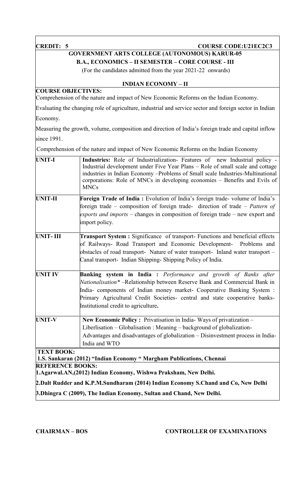#### **CREDIT: 5 COURSE CODE:U21EC2C3**

### **GOVERNMENT ARTS COLLEGE (AUTONOMOUS) KARUR-05**

**B.A., ECONOMICS – II SEMESTER – CORE COURSE - III**

(For the candidates admitted from the year 2021-22 onwards)

#### **INDIAN ECONOMY – II**

#### **COURSE OBJECTIVES:**

Comprehension of the nature and impact of New Economic Reforms on the Indian Economy.

Evaluating the changing role of agriculture, industrial and service sector and foreign sector in Indian

Economy.

Measuring the growth, volume, composition and direction of India's foreign trade and capital inflow since 1991.

Comprehension of the nature and impact of New Economic Reforms on the Indian Economy

| <b>UNIT-I</b>                                | Industries: Role of Industrialization- Features of new Industrial policy -<br>Industrial development under Five Year Plans - Role of small scale and cottage<br>industries in Indian Economy -Problems of Small scale Industries-Multinational<br>corporations: Role of MNCs in developing economies - Benefits and Evils of<br><b>MNCs</b>           |
|----------------------------------------------|-------------------------------------------------------------------------------------------------------------------------------------------------------------------------------------------------------------------------------------------------------------------------------------------------------------------------------------------------------|
| <b>UNIT-II</b>                               | Foreign Trade of India: Evolution of India's foreign trade-volume of India's<br>foreign trade – composition of foreign trade- direction of trade – Pattern of<br>exports and imports – changes in composition of foreign trade – new export and<br>import policy.                                                                                     |
| UNIT-III                                     | <b>Transport System :</b> Significance of transport- Functions and beneficial effects<br>of Railways- Road Transport and Economic Development-<br>Problems and<br>obstacles of road transport- Nature of water transport- Inland water transport -<br>Canal transport- Indian Shipping-Shipping Policy of India.                                      |
| <b>UNIT IV</b>                               | <b>Banking system in India :</b> Performance and growth of Banks after<br>Nationalisation* - Relationship between Reserve Bank and Commercial Bank in<br>India-components of Indian money market- Cooperative Banking System :<br>Primary Agricultural Credit Societies- central and state cooperative banks-<br>Institutional credit to agriculture. |
| <b>UNIT-V</b>                                | New Economic Policy: Privatisation in India-Ways of privatization -<br>Liberlisation – Globalisation : Meaning – background of globalization-<br>Advantages and disadvantages of globalization - Disinvestment process in India-<br>India and WTO                                                                                                     |
| <b>TEXT BOOK:</b><br><b>REFERENCE BOOKS:</b> | 1.S. Sankaran (2012) "Indian Economy " Margham Publications, Chennai<br>1. Agarwal. AN, (2012) Indian Economy, Wishwa Praksham, New Delhi.<br>2. Dalt Rudder and K.P.M.Sundharam (2014) Indian Economy S.Chand and Co, New Delhi                                                                                                                      |
|                                              |                                                                                                                                                                                                                                                                                                                                                       |

**3.Dhingra C (2009), The Indian Economy, Sultan and Chand, New Delhi.**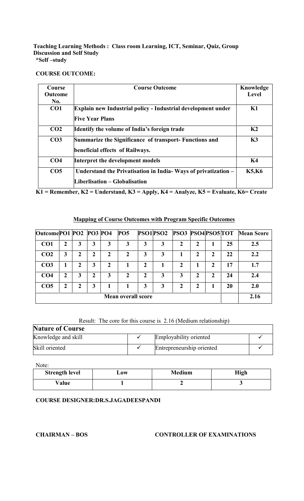#### **COURSE OUTCOME:**

| Course<br><b>Outcome</b> | <b>Course Outcome</b>                                                                          | Knowledge<br>Level |
|--------------------------|------------------------------------------------------------------------------------------------|--------------------|
| No.                      |                                                                                                |                    |
| CO1                      | Explain new Industrial policy - Industrial development under<br><b>Five Year Plans</b>         | K1                 |
| CO <sub>2</sub>          | <b>Identify the volume of India's foreign trade</b>                                            | K <sub>2</sub>     |
| CO <sub>3</sub>          | Summarize the Significance of transport- Functions and<br>beneficial effects of Railways.      | K3                 |
| CO <sub>4</sub>          | Interpret the development models                                                               | K <sub>4</sub>     |
| CO <sub>5</sub>          | Understand the Privatisation in India-Ways of privatization –<br>Liberlisation – Globalisation | <b>K5,K6</b>       |

**K1 = Remember, K2 = Understand, K3 = Apply, K4 = Analyze, K5 = Evaluate, K6= Create**

#### **Mapping of Course Outcomes with Program Specific Outcomes**

| Outcome PO1 PO2 PO3 PO4 |   |               |   |   | <b>PO5</b>         |   |   | PSO1PSO2 PSO3 PSO4PSO5TOT |   |             |    | <b>Mean Score</b> |
|-------------------------|---|---------------|---|---|--------------------|---|---|---------------------------|---|-------------|----|-------------------|
| CO <sub>1</sub>         |   | 3             | 3 | 3 | 3                  | 3 | 3 |                           | 2 |             | 25 | 2.5               |
| CO <sub>2</sub>         | 3 | $\mathcal{L}$ | 2 | 2 | 2                  | 3 | 3 |                           | 2 | 2           | 22 | 2.2               |
| CO <sub>3</sub>         |   |               | 3 | 2 |                    | 2 |   |                           |   | $\mathbf 2$ | 17 | 1.7               |
| CO <sub>4</sub>         | 2 | 3             | 2 | 3 | 2                  | 2 | 3 | 3                         | 2 | 2           | 24 | 2.4               |
| CO <sub>5</sub>         | ∍ | 2             | 3 |   |                    | 3 | 3 | ∍                         | 2 |             | 20 | 2.0               |
|                         |   |               |   |   | Mean overall score |   |   |                           |   |             |    | 2.16              |

#### Result: The core for this course is 2.16 (Medium relationship)

| <b>Nature of Course</b> |  |                           |  |  |
|-------------------------|--|---------------------------|--|--|
| Knowledge and skill     |  | Employability oriented    |  |  |
| Skill oriented          |  | Entrepreneurship oriented |  |  |

Note:

| <b>Strength level</b> | $-0W$ | <b>Medium</b> | High |
|-----------------------|-------|---------------|------|
| Value                 |       |               |      |

#### **COURSE DESIGNER:DR.S.JAGADEESPANDI**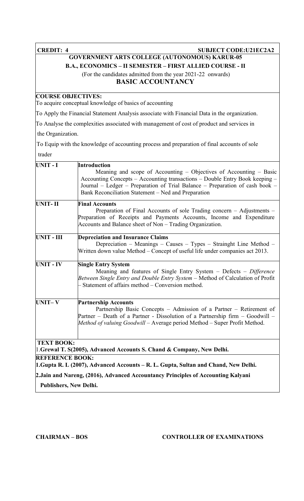### **CREDIT: 4 SUBJECT CODE:U21EC2A2 GOVERNMENT ARTS COLLEGE (AUTONOMOUS) KARUR-05 B.A., ECONOMICS – II SEMESTER – FIRST ALLIED COURSE - II** (For the candidates admitted from the year 2021-22 onwards)

#### **BASIC ACCOUNTANCY**

#### **COURSE OBJECTIVES:**

To acquire conceptual knowledge of basics of accounting

To Apply the Financial Statement Analysis associate with Financial Data in the organization.

To Analyse the complexities associated with management of cost of product and services in

the Organization.

To Equip with the knowledge of accounting process and preparation of final accounts of sole trader

| <b>UNIT-I</b>                 | <b>Introduction</b><br>Meaning and scope of Accounting – Objectives of Accounting – Basic<br>Accounting Concepts – Accounting transactions – Double Entry Book keeping –<br>Journal - Ledger - Preparation of Trial Balance - Preparation of cash book -<br>Bank Reconciliation Statement – Ned and Preparation |
|-------------------------------|-----------------------------------------------------------------------------------------------------------------------------------------------------------------------------------------------------------------------------------------------------------------------------------------------------------------|
| <b>UNIT-II</b>                | <b>Final Accounts</b><br>Preparation of Final Accounts of sole Trading concern – Adjustments –<br>Preparation of Receipts and Payments Accounts, Income and Expenditure<br>Accounts and Balance sheet of Non – Trading Organization.                                                                            |
| UNIT - III                    | <b>Depreciation and Insurance Claims</b><br>Depreciation - Meanings - Causes - Types - Strainght Line Method -<br>Written down value Method – Concept of useful life under companies act 2013.                                                                                                                  |
| <b>UNIT - IV</b>              | <b>Single Entry System</b><br>Meaning and features of Single Entry System - Defects - Difference<br>Between Single Entry and Double Entry System – Method of Calculation of Profit<br>Statement of affairs method – Conversion method.                                                                          |
| <b>UNIT-V</b>                 | <b>Partnership Accounts</b><br>Partnership Basic Concepts – Admission of a Partner – Retirement of<br>Partner - Death of a Partner - Dissolution of a Partnership firm - Goodwill -<br>Method of valuing Goodwill - Average period Method - Super Profit Method.                                                |
| <b>TEXT BOOK:</b>             | 1. Grewal T. S(2005), Advanced Accounts S. Chand & Company, New Delhi.                                                                                                                                                                                                                                          |
| <b>REFERENCE BOOK:</b>        | 1. Gupta R. L (2007), Advanced Accounts – R. L. Gupta, Sultan and Chand, New Delhi.                                                                                                                                                                                                                             |
|                               | 2. Jain and Nareng, (2016), Advanced Accountancy Principles of Accounting Kalyani                                                                                                                                                                                                                               |
| <b>Publishers, New Delhi.</b> |                                                                                                                                                                                                                                                                                                                 |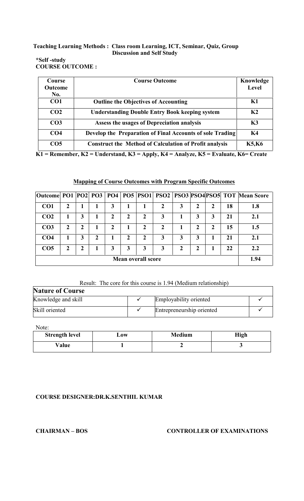#### **\*Self -study COURSE OUTCOME :**

| <b>Course</b><br>Outcome | <b>Course Outcome</b>                                         | Knowledge<br>Level |
|--------------------------|---------------------------------------------------------------|--------------------|
| No.                      |                                                               |                    |
| CO <sub>1</sub>          | <b>Outline the Objectives of Accounting</b>                   | K1                 |
| CO <sub>2</sub>          | <b>Understanding Double Entry Book keeping system</b>         | K <sub>2</sub>     |
| CO <sub>3</sub>          | Assess the usages of Depreciation analysis                    | K3                 |
| CO <sub>4</sub>          | Develop the Preparation of Final Accounts of sole Trading     | K <sub>4</sub>     |
| CO <sub>5</sub>          | <b>Construct the Method of Calculation of Profit analysis</b> | <b>K5,K6</b>       |

**K1 = Remember, K2 = Understand, K3 = Apply, K4 = Analyze, K5 = Evaluate, K6= Create**

### **Mapping of Course Outcomes with Program Specific Outcomes**

|                 |   |   |   |   |                           |   |   |   |   |    | Outcome  PO1   PO2   PO3   PO4   PO5   PSO1   PSO2   PSO3   PSO4   PSO5   TOT Mean Score |
|-----------------|---|---|---|---|---------------------------|---|---|---|---|----|------------------------------------------------------------------------------------------|
| CO <sub>1</sub> |   |   |   |   |                           |   | 3 | 2 | 2 | 18 | 1.8                                                                                      |
| CO <sub>2</sub> |   | 3 |   | 2 | 2                         | 3 |   | 3 | 3 | 21 | 2.1                                                                                      |
| CO <sub>3</sub> | 2 | 2 |   |   | 2                         | 2 |   | 2 | 2 | 15 | 1.5                                                                                      |
| CO <sub>4</sub> |   | 3 | 2 | 2 | 2                         | 3 | 3 | 3 |   | 21 | 2.1                                                                                      |
| CO <sub>5</sub> | 2 | 2 |   | 3 | 3                         | 3 |   | 2 |   | 22 | 2.2                                                                                      |
|                 |   |   |   |   | <b>Mean overall score</b> |   |   |   |   |    | 1.94                                                                                     |

### Result: The core for this course is 1.94 (Medium relationship)

| <b>Nature of Course</b> |  |                           |  |  |
|-------------------------|--|---------------------------|--|--|
| Knowledge and skill     |  | Employability oriented    |  |  |
| Skill oriented          |  | Entrepreneurship oriented |  |  |

Note:

| <b>Strength level</b> | $\mathbf{\mathbf{\omega}}$ ow | <b>Medium</b> | High |
|-----------------------|-------------------------------|---------------|------|
| $^{\vee}$ alue        |                               | -             |      |

### **COURSE DESIGNER:DR.K.SENTHIL KUMAR**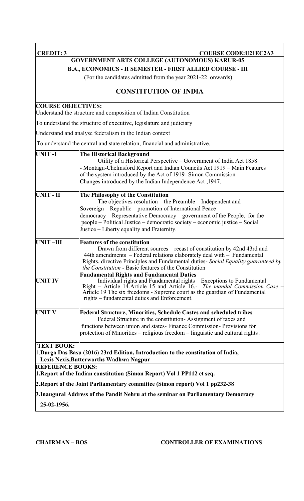| <b>CREDIT: 3</b>                             | <b>COURSE CODE: U21EC2A3</b>                                                                                                                                                                                                                                                                                                                                               |
|----------------------------------------------|----------------------------------------------------------------------------------------------------------------------------------------------------------------------------------------------------------------------------------------------------------------------------------------------------------------------------------------------------------------------------|
|                                              | <b>GOVERNMENT ARTS COLLEGE (AUTONOMOUS) KARUR-05</b>                                                                                                                                                                                                                                                                                                                       |
|                                              | B.A., ECONOMICS - II SEMESTER - FIRST ALLIED COURSE - III                                                                                                                                                                                                                                                                                                                  |
|                                              | (For the candidates admitted from the year 2021-22 onwards)                                                                                                                                                                                                                                                                                                                |
|                                              | <b>CONSTITUTION OF INDIA</b>                                                                                                                                                                                                                                                                                                                                               |
| <b>COURSE OBJECTIVES:</b>                    | Understand the structure and composition of Indian Constitution                                                                                                                                                                                                                                                                                                            |
|                                              | To understand the structure of executive, legislature and judiciary                                                                                                                                                                                                                                                                                                        |
|                                              | Understand and analyse federalism in the Indian context                                                                                                                                                                                                                                                                                                                    |
|                                              | To understand the central and state relation, financial and administrative.                                                                                                                                                                                                                                                                                                |
| <b>UNIT-I</b>                                | <b>The Historical Background</b><br>Utility of a Historical Perspective – Government of India Act 1858<br>- Montagu-Chelmsford Report and Indian Councils Act 1919 – Main Features<br>of the system introduced by the Act of 1919-Simon Commission -<br>Changes introduced by the Indian Independence Act, 1947.                                                           |
| <b>UNIT-II</b>                               | The Philosophy of the Constitution<br>The objectives resolution $-$ the Preamble $-$ Independent and<br>Sovereign – Republic – promotion of International Peace –<br>democracy – Representative Democracy – government of the People, for the<br>people – Political Justice – democratic society – economic justice – Social<br>Justice – Liberty equality and Fraternity. |
| <b>UNIT-III</b>                              | <b>Features of the constitution</b><br>Drawn from different sources – recast of constitution by 42nd 43rd and<br>44th amendments - Federal relations elaborately deal with - Fundamental<br>Rights, directive Principles and Fundamental duties- Social Equality guaranteed by<br>the Constitution - Basic features of the Constitution                                    |
| <b>UNIT IV</b>                               | <b>Fundamental Rights and Fundamental Duties</b><br>Individual rights and Fundamental rights - Exceptions to Fundamental<br>Right - Article 14. Article 15 and Article 16.- The mandal Commission Case -<br>Article 19 The six freedoms - Supreme court as the guardian of Fundamental<br>rights – fundamental duties and Enforcement.                                     |
| <b>UNIT V</b>                                | <b>Federal Structure, Minorities, Schedule Castes and scheduled tribes</b><br>Federal Structure in the constitution-Assignment of taxes and<br>functions between union and states-Finance Commission-Provisions for<br>protection of Minorities – religious freedom – linguistic and cultural rights.                                                                      |
| <b>TEXT BOOK:</b><br><b>REFERENCE BOOKS:</b> | 1. Durga Das Basu (2016) 23rd Edition, Introduction to the constitution of India,<br>Lexis Nexis, Butterworths Wadhwa Nagpur<br>1. Report of the Indian constitution (Simon Report) Vol 1 PP112 et seq.                                                                                                                                                                    |
|                                              | 2. Report of the Joint Parliamentary committee (Simon report) Vol 1 pp232-38                                                                                                                                                                                                                                                                                               |
| 25-02-1956.                                  | 3. Inaugural Address of the Pandit Nehru at the seminar on Parliamentary Democracy                                                                                                                                                                                                                                                                                         |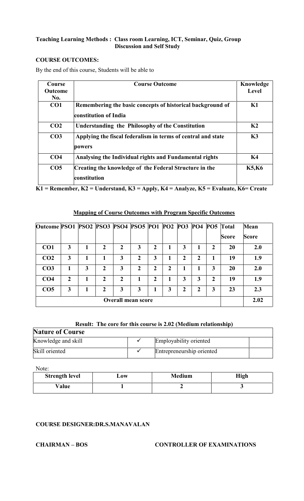#### **COURSE OUTCOMES:**

By the end of this course, Students will be able to

| Course          | <b>Course Outcome</b>                                        | Knowledge      |
|-----------------|--------------------------------------------------------------|----------------|
| <b>Outcome</b>  |                                                              | Level          |
| No.             |                                                              |                |
| CO <sub>1</sub> | Remembering the basic concepts of historical background of   | K1             |
|                 | constitution of India                                        |                |
| CO <sub>2</sub> | <b>Understanding the Philosophy of the Constitution</b>      | K <sub>2</sub> |
| CO <sub>3</sub> | Applying the fiscal federalism in terms of central and state | K3             |
|                 | powers                                                       |                |
| CO <sub>4</sub> | Analysing the Individual rights and Fundamental rights       | <b>K4</b>      |
| CO <sub>5</sub> | Creating the knowledge of the Federal Structure in the       | <b>K5,K6</b>   |
|                 | constitution                                                 |                |

**K1 = Remember, K2 = Understand, K3 = Apply, K4 = Analyze, K5 = Evaluate, K6= Create**

#### **Mapping of Course Outcomes with Program Specific Outcomes**

| Outcome PSO1 PSO2 PSO3 PSO4 PSO5 PO1 PO2 PO3 PO4 PO5 Total |                  |   |                |                           |               |                |             |   |   |              |              | <b>Mean</b>  |
|------------------------------------------------------------|------------------|---|----------------|---------------------------|---------------|----------------|-------------|---|---|--------------|--------------|--------------|
|                                                            |                  |   |                |                           |               |                |             |   |   |              | <b>Score</b> | <b>Score</b> |
| CO <sub>1</sub>                                            | 3                |   | $\mathbf{2}$   | $\mathbf{2}$              | 3             | $\overline{2}$ | 1           | 3 |   | $\mathbf{2}$ | 20           | 2.0          |
| CO <sub>2</sub>                                            | 3                |   |                | 3                         | $\mathcal{L}$ | 3              |             | 2 | 2 |              | 19           | 1.9          |
| CO <sub>3</sub>                                            |                  | 3 | $\mathbf{2}$   | 3                         | 2             | $\overline{2}$ | $\mathbf 2$ |   |   | 3            | 20           | 2.0          |
| CO <sub>4</sub>                                            | $\boldsymbol{2}$ |   | 2              | $\overline{2}$            |               | $\overline{2}$ |             | 3 | 3 | $\mathbf{2}$ | 19           | 1.9          |
| CO <sub>5</sub>                                            | 3                |   | $\mathfrak{D}$ | 3                         | 3             |                | 3           | 2 | 2 | 3            | 23           | 2.3          |
|                                                            |                  |   |                | <b>Overall mean score</b> |               |                |             |   |   |              |              | 2.02         |

#### **Result: The core for this course is 2.02 (Medium relationship)**

## **Nature of Course** Knowledge and skill  $\checkmark$  Employability oriented Skill oriented **Entrepreneurship oriented**

Note:

| <b>Strength level</b> | $\mathbf{\omega}$ ow | <b>Medium</b> | <b>High</b> |
|-----------------------|----------------------|---------------|-------------|
| Value                 |                      |               |             |

#### **COURSE DESIGNER:DR.S.MANAVALAN**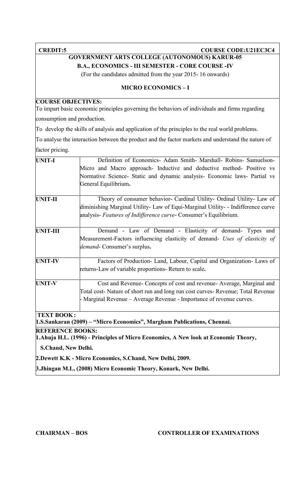#### **CREDIT:5 COURSE COURSE CODE:U21EC3C4**

#### **GOVERNMENT ARTS COLLEGE (AUTONOMOUS) KARUR-05 B.A., ECONOMICS - III SEMESTER - CORE COURSE -IV**

(For the candidates admitted from the year 2015- 16 onwards)

#### **MICRO ECONOMICS – I**

#### **COURSE OBJECTIVES:**

To impart basic economic principles governing the behaviors of individuals and firms regarding consumption and production.

To develop the skills of analysis and application of the principles to the real world problems.

To analyse the interaction between the product and the factor markets and understand the nature of

factor pricing.

| <b>UNIT-I</b>                                         | Definition of Economics- Adam Smith- Marshall- Robins- Samuelson-                    |
|-------------------------------------------------------|--------------------------------------------------------------------------------------|
|                                                       | Micro and Macro approach- Inductive and deductive method- Positive vs                |
|                                                       | Normative Science- Static and dynamic analysis- Economic laws- Partial vs            |
|                                                       | General Equilibrium.                                                                 |
| <b>UNIT-II</b>                                        | Theory of consumer behavior- Cardinal Utility- Ordinal Utility- Law of               |
|                                                       | diminishing Marginal Utility- Law of Equi-Marginal Utility- - Indifference curve     |
|                                                       | analysis- Features of Indifference curve- Consumer's Equilibrium.                    |
| <b>UNIT-III</b>                                       | Demand - Law of Demand - Elasticity of demand- Types and                             |
|                                                       | Measurement-Factors influencing elasticity of demand- Uses of elasticity of          |
|                                                       | demand- Consumer's surplus.                                                          |
| <b>UNIT-IV</b>                                        | Factors of Production- Land, Labour, Capital and Organization- Laws of               |
|                                                       | returns-Law of variable proportions- Return to scale.                                |
| <b>UNIT-V</b>                                         | Cost and Revenue- Concepts of cost and revenue- Average, Marginal and                |
|                                                       | Total cost- Nature of short run and long run cost curves- Revenue; Total Revenue     |
|                                                       | - Marginal Revenue – Average Revenue - Importance of revenue curves.                 |
| <b>TEXT BOOK:</b>                                     |                                                                                      |
|                                                       | 1.S.Sankaran (2009) – "Micro Economics", Margham Publications, Chennai.              |
| <b>REFERENCE BOOKS:</b>                               |                                                                                      |
|                                                       | 1. Ahuja H.L. (1996) - Principles of Micro Economics, A New look at Economic Theory, |
| $\alpha$ $\alpha$ $\alpha$ $\alpha$ $\alpha$ $\alpha$ |                                                                                      |

**S.Chand, New Delhi.**

**2.Dewett K.K - Micro Economics, S.Chand, New Delhi, 2009.**

**3.Jhingan M.L, (2008) Micro Economic Theory, Konark, New Delhi.**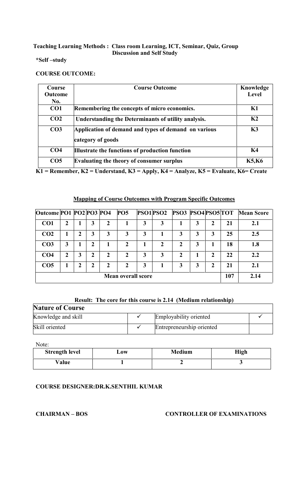#### **\*Self –study**

#### **COURSE OUTCOME:**

| Course          | <b>Course Outcome</b>                                | Knowledge      |
|-----------------|------------------------------------------------------|----------------|
| Outcome         |                                                      | Level          |
| No.             |                                                      |                |
| CO1             | Remembering the concepts of micro economics.         | K1             |
| CO <sub>2</sub> | Understanding the Determinants of utility analysis.  | K <sub>2</sub> |
| CO <sub>3</sub> | Application of demand and types of demand on various | K3             |
|                 | category of goods                                    |                |
| CO <sub>4</sub> | Illustrate the functions of production function      | K4             |
| CO <sub>5</sub> | <b>Evaluating the theory of consumer surplus</b>     | <b>K5,K6</b>   |

**K1 = Remember, K2 = Understand, K3 = Apply, K4 = Analyze, K5 = Evaluate, K6= Create**

### **Mapping of Course Outcomes with Program Specific Outcomes**

| Outcome PO1 PO2 PO3 PO4   |             |   |   |   | <b>PO5</b> |   |   | <b>PSO1PSO2 PSO3 PSO4PSO5TOT</b> |     |      |    | <b>Mean Score</b> |
|---------------------------|-------------|---|---|---|------------|---|---|----------------------------------|-----|------|----|-------------------|
| CO <sub>1</sub>           | 2           |   | 3 | 2 |            | 3 | 3 |                                  | 3   | 2    | 21 | 2.1               |
| CO <sub>2</sub>           |             |   | 3 | 3 | 3          | 3 |   |                                  | 3   | 3    | 25 | 2.5               |
| CO <sub>3</sub>           | 3           |   | 2 |   | 2          |   | 2 | 2                                | 3   |      | 18 | 1.8               |
| CO <sub>4</sub>           | $\mathbf 2$ | 3 | 2 | 2 | 2          | 3 | 3 |                                  |     | 2    | 22 | 2.2               |
| CO <sub>5</sub>           |             | 2 | 2 | 2 | 2          | 3 |   |                                  | 3   | 2    | 21 | 2.1               |
| <b>Mean overall score</b> |             |   |   |   |            |   |   |                                  | 107 | 2.14 |    |                   |

#### **Result: The core for this course is 2.14 (Medium relationship)**

| <b>Nature of Course</b> |  |                           |  |  |  |  |
|-------------------------|--|---------------------------|--|--|--|--|
| Knowledge and skill     |  | Employability oriented    |  |  |  |  |
| Skill oriented          |  | Entrepreneurship oriented |  |  |  |  |

Note:

| <b>Strength level</b> | $\mathbf{\omega}\mathbf{0}\mathbf{W}$ | Medium | High |
|-----------------------|---------------------------------------|--------|------|
| Value                 |                                       |        |      |

### **COURSE DESIGNER:DR.K.SENTHIL KUMAR**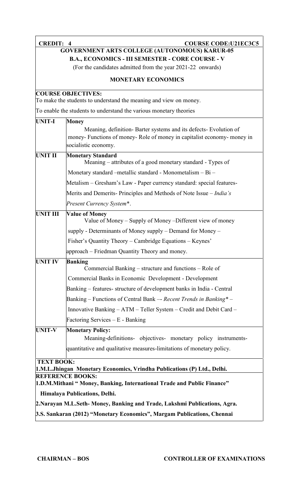| <b>CREDIT: 4</b>  | <b>COURSE CODE:U21EC3C5</b>                                                                                                                                         |
|-------------------|---------------------------------------------------------------------------------------------------------------------------------------------------------------------|
|                   | <b>GOVERNMENT ARTS COLLEGE (AUTONOMOUS) KARUR-05</b>                                                                                                                |
|                   | <b>B.A., ECONOMICS - III SEMESTER - CORE COURSE - V</b>                                                                                                             |
|                   | (For the candidates admitted from the year 2021-22 onwards)                                                                                                         |
|                   | <b>MONETARY ECONOMICS</b>                                                                                                                                           |
|                   | <b>COURSE OBJECTIVES:</b><br>To make the students to understand the meaning and view on money.                                                                      |
|                   | To enable the students to understand the various monetary theories                                                                                                  |
| UNIT-I            | <b>Money</b>                                                                                                                                                        |
|                   | Meaning, definition-Barter systems and its defects-Evolution of<br>money- Functions of money- Role of money in capitalist economy- money in<br>socialistic economy. |
| <b>UNIT II</b>    | <b>Monetary Standard</b><br>Meaning – attributes of a good monetary standard - Types of                                                                             |
|                   | Monetary standard -metallic standard - Monometalism - Bi -                                                                                                          |
|                   | Metalism – Gresham's Law - Paper currency standard: special features-                                                                                               |
|                   | Merits and Demerits- Principles and Methods of Note Issue – <i>India's</i>                                                                                          |
|                   | Present Currency System*.                                                                                                                                           |
| <b>UNIT III</b>   | <b>Value of Money</b><br>Value of Money – Supply of Money – Different view of money                                                                                 |
|                   | supply - Determinants of Money supply – Demand for Money –                                                                                                          |
|                   | Fisher's Quantity Theory - Cambridge Equations - Keynes'                                                                                                            |
|                   | approach – Friedman Quantity Theory and money.                                                                                                                      |
| <b>UNIT IV</b>    | <b>Banking</b><br>Commercial Banking – structure and functions – Role of                                                                                            |
|                   | Commercial Banks in Economic Development - Development                                                                                                              |
|                   | Banking – features- structure of development banks in India - Central                                                                                               |
|                   | Banking - Functions of Central Bank -- Recent Trends in Banking* -                                                                                                  |
|                   | Innovative Banking – ATM – Teller System – Credit and Debit Card –                                                                                                  |
|                   | Factoring Services – E - Banking                                                                                                                                    |
| <b>UNIT-V</b>     | <b>Monetary Policy:</b><br>Meaning-definitions- objectives- monetary policy instruments-                                                                            |
|                   | quantitative and qualitative measures-limitations of monetary policy.                                                                                               |
| <b>TEXT BOOK:</b> | 1.M.L.Jhingan Monetary Economics, Vrindha Publications (P) Ltd., Delhi.                                                                                             |
|                   | <b>REFERENCE BOOKS:</b>                                                                                                                                             |
|                   | 1.D.M.Mithani " Money, Banking, International Trade and Public Finance"                                                                                             |
|                   | Himalaya Publications, Delhi.                                                                                                                                       |
|                   | 2. Narayan M.L.Seth-Money, Banking and Trade, Lakshmi Publications, Agra.                                                                                           |
|                   | 3.S. Sankaran (2012) "Monetary Economics", Margam Publications, Chennai                                                                                             |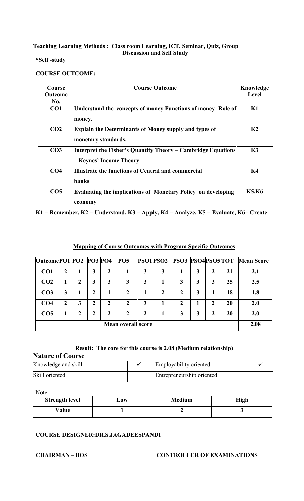#### **\*Self -study**

#### **COURSE OUTCOME:**

| Course          | <b>Course Outcome</b>                                                                   | Knowledge      |
|-----------------|-----------------------------------------------------------------------------------------|----------------|
| <b>Outcome</b>  |                                                                                         | <b>Level</b>   |
| No.             |                                                                                         |                |
| CO <sub>1</sub> | Understand the concepts of money Functions of money- Role of<br>money.                  | K1             |
| CO <sub>2</sub> | <b>Explain the Determinants of Money supply and types of</b><br>monetary standards.     | K <sub>2</sub> |
| CO <sub>3</sub> | Interpret the Fisher's Quantity Theory – Cambridge Equations<br>- Keynes' Income Theory | K3             |
| CO <sub>4</sub> | Illustrate the functions of Central and commercial<br>banks                             | <b>K4</b>      |
| CO <sub>5</sub> | <b>Evaluating the implications of Monetary Policy on developing</b><br>economy          | <b>K5,K6</b>   |

**K1 = Remember, K2 = Understand, K3 = Apply, K4 = Analyze, K5 = Evaluate, K6= Create**

#### **Mapping of Course Outcomes with Program Specific Outcomes**

| Outcome PO1 PO2 PO3 PO4 |                           |   |   |              | PO5 |   | PSO1PSO2 | <b>PSO3 PSO4PSO5TOT</b> |   |   |    | <b>Mean Score</b> |
|-------------------------|---------------------------|---|---|--------------|-----|---|----------|-------------------------|---|---|----|-------------------|
| CO <sub>1</sub>         | 2                         |   | 3 | 2            |     | 3 | 3        |                         | 3 | 2 | 21 | 2.1               |
| CO <sub>2</sub>         |                           | 2 | 3 | 3            | 3   | 3 |          | 3                       | 3 | 3 | 25 | 2.5               |
| CO <sub>3</sub>         | 3                         |   | 2 |              | 2   |   | 2        | 2                       | 3 |   | 18 | 1.8               |
| CO <sub>4</sub>         | 2                         | 3 | 2 | $\mathbf{2}$ | 2   | 3 |          | 2                       |   | 2 | 20 | 2.0               |
| CO <sub>5</sub>         |                           | 2 | 2 | 2            | 2   | 2 |          | 3                       | 3 | 2 | 20 | 2.0               |
|                         | <b>Mean overall score</b> |   |   |              |     |   |          |                         |   |   |    | 2.08              |

#### **Result: The core for this course is 2.08 (Medium relationship)**

| <b>Nature of Course</b> |  |                           |  |  |  |  |
|-------------------------|--|---------------------------|--|--|--|--|
| Knowledge and skill     |  | Employability oriented    |  |  |  |  |
| Skill oriented          |  | Entrepreneurship oriented |  |  |  |  |

Note:

| <b>Strength level</b> | $\mathbf{\mathbf{\omega}}$ ow | <b>Medium</b> | High |
|-----------------------|-------------------------------|---------------|------|
| Value                 |                               |               |      |

#### **COURSE DESIGNER:DR.S.JAGADEESPANDI**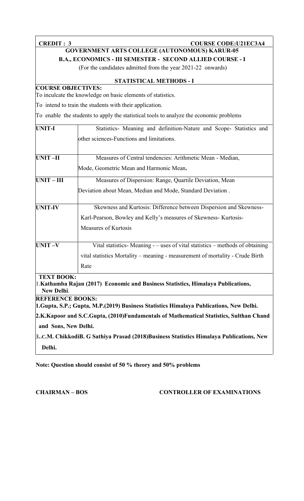**CREDIT : 3 COURSE CODE:U21EC3A4 GOVERNMENT ARTS COLLEGE (AUTONOMOUS) KARUR-05**

**B.A., ECONOMICS - III SEMESTER - SECOND ALLIED COURSE - I**

(For the candidates admitted from the year 2021-22 onwards)

#### **STATISTICAL METHODS - I**

### **COURSE OBJECTIVES:**

To inculcate the knowledge on basic elements of statistics.

To intend to train the students with their application.

To enable the students to apply the statistical tools to analyze the economic problems

| <b>UNIT-I</b>     | Statistics- Meaning and definition-Nature and Scope- Statistics and           |
|-------------------|-------------------------------------------------------------------------------|
|                   | other sciences-Functions and limitations.                                     |
| <b>UNIT-II</b>    | Measures of Central tendencies: Arithmetic Mean - Median,                     |
|                   | Mode, Geometric Mean and Harmonic Mean.                                       |
| $UNIT - III$      | Measures of Dispersion: Range, Quartile Deviation, Mean                       |
|                   | Deviation about Mean, Median and Mode, Standard Deviation.                    |
| <b>UNIT-IV</b>    | Skewness and Kurtosis: Difference between Dispersion and Skewness-            |
|                   | Karl-Pearson, Bowley and Kelly's measures of Skewness-Kurtosis-               |
|                   | Measures of Kurtosis                                                          |
| $UNIT -V$         | Vital statistics-Meaning - – uses of vital statistics – methods of obtaining  |
|                   | vital statistics Mortality – meaning - measurement of mortality - Crude Birth |
|                   | Rate                                                                          |
| <b>TEXT BOOK:</b> |                                                                               |

1.**Kathamba Rajan (2017) Economic and Business Statistics, Himalaya Publications, New Delhi**.

**REFERENCE BOOKS:**

**1.Gupta, S.P.; Gupta, M.P.(2019) Business Statistics Himalaya Publications, New Delhi.**

**2.K.Kapoor and S.C.Gupta, (2010)Fundamentals of Mathematical Statistics, Sulthan Chand and Sons, New Delhi.**

3**..C.M. ChikkodiB. G Sathiya Prasad (2018)Business Statistics Himalaya Publications, New Delhi.**

**Note: Question should consist of 50 % theory and 50% problems**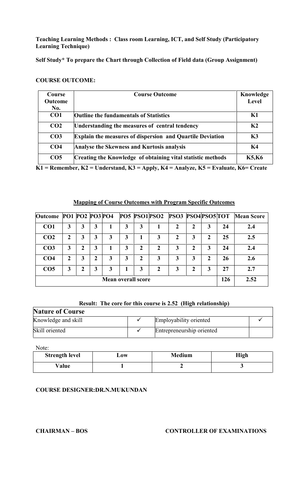**Teaching Learning Methods : Class room Learning, ICT, and Self Study (Participatory Learning Technique)**

#### **Self Study\* To prepare the Chart through Collection of Field data (Group Assignment)**

#### **COURSE OUTCOME:**

| <b>Course</b>   | <b>Course Outcome</b>                                            | Knowledge      |
|-----------------|------------------------------------------------------------------|----------------|
| <b>Outcome</b>  |                                                                  | Level          |
| No.             |                                                                  |                |
| CO1             | <b>Outline the fundamentals of Statistics</b>                    | K1             |
| CO <sub>2</sub> | Understanding the measures of central tendency                   | K <sub>2</sub> |
| CO <sub>3</sub> | <b>Explain the measures of dispersion and Quartile Deviation</b> | K3             |
| CO <sub>4</sub> | <b>Analyse the Skewness and Kurtosis analysis</b>                | K4             |
| CO <sub>5</sub> | Creating the Knowledge of obtaining vital statistic methods      | <b>K5,K6</b>   |

**K1 = Remember, K2 = Understand, K3 = Apply, K4 = Analyze, K5 = Evaluate, K6= Create**

#### **Mapping of Course Outcomes with Program Specific Outcomes**

| Outcome PO1 PO2 PO3 PO4 |   |              |   |   |                           |   | PO5 PSO1 PSO2 | <b>PSO3 PSO4PSO5TOT</b> |             |   |     | <b>Mean Score</b> |
|-------------------------|---|--------------|---|---|---------------------------|---|---------------|-------------------------|-------------|---|-----|-------------------|
| CO <sub>1</sub>         | 3 | 3            | 3 |   | 3                         | 3 |               |                         | 2           | 3 | 24  | 2.4               |
| CO <sub>2</sub>         | 2 | 3            | 3 | 3 | 3                         |   | 3             | $\mathbf 2$             | 3           | 2 | 25  | 2.5               |
| CO <sub>3</sub>         | 3 | $\mathbf{2}$ | 3 |   | 3                         | 2 | 2             | 3                       | $\mathbf 2$ | 3 | 24  | 2.4               |
| CO <sub>4</sub>         | 2 | 3            | 2 | 3 | 3                         | 2 | 3             | 3                       | 3           | 2 | 26  | 2.6               |
| CO <sub>5</sub>         | 3 | 2            | 3 | 3 |                           |   | 2             | 3                       | 2           | 3 | 27  | 2.7               |
|                         |   |              |   |   | <b>Mean overall score</b> |   |               |                         |             |   | 126 | 2.52              |

#### **Result: The core for this course is 2.52 (High relationship)**

| <b>Nature of Course</b> |                           |  |
|-------------------------|---------------------------|--|
| Knowledge and skill     | Employability oriented    |  |
| Skill oriented          | Entrepreneurship oriented |  |

Note:

| <b>Strength level</b> | $\mathbf{\mathbf{\omega}}$ ow | <b>Medium</b> | High |
|-----------------------|-------------------------------|---------------|------|
| Value                 |                               |               |      |

#### **COURSE DESIGNER:DR.N.MUKUNDAN**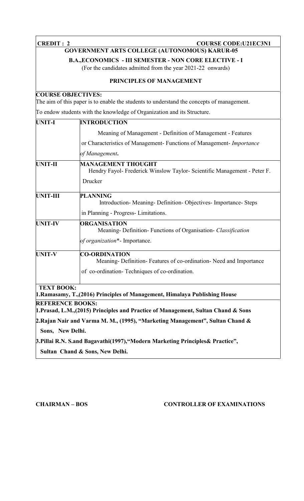| <b>CREDIT: 2</b>          | <b>COURSE CODE:U21EC3N1</b>                                                                                                  |
|---------------------------|------------------------------------------------------------------------------------------------------------------------------|
|                           | <b>GOVERNMENT ARTS COLLEGE (AUTONOMOUS) KARUR-05</b>                                                                         |
|                           | <b>B.A., ECONOMICS - III SEMESTER - NON CORE ELECTIVE - I</b><br>(For the candidates admitted from the year 2021-22 onwards) |
|                           | PRINCIPLES OF MANAGEMENT                                                                                                     |
| <b>COURSE OBJECTIVES:</b> | The aim of this paper is to enable the students to understand the concepts of management.                                    |
|                           | To endow students with the knowledge of Organization and its Structure.                                                      |
| <b>UNIT-I</b>             | <b>INTRODUCTION</b>                                                                                                          |
|                           | Meaning of Management - Definition of Management - Features                                                                  |
|                           | or Characteristics of Management- Functions of Management- Importance                                                        |
|                           | of Management.                                                                                                               |
| <b>UNIT-II</b>            | <b>MANAGEMENT THOUGHT</b><br>Hendry Fayol- Frederick Winslow Taylor- Scientific Management - Peter F.                        |
|                           | Drucker                                                                                                                      |
| UNIT-III                  | <b>PLANNING</b><br>Introduction- Meaning- Definition- Objectives- Importance- Steps                                          |
|                           | in Planning - Progress- Limitations.                                                                                         |
| <b>UNIT-IV</b>            | <b>ORGANISATION</b><br>Meaning- Definition- Functions of Organisation- Classification                                        |
|                           | of organization*- Importance.                                                                                                |
| <b>UNIT-V</b>             | <b>CO-ORDINATION</b><br>Meaning-Definition-Features of co-ordination-Need and Importance                                     |
|                           | of co-ordination-Techniques of co-ordination.                                                                                |
| <b>TEXT BOOK:</b>         | 1. Ramasamy, T., (2016) Principles of Management, Himalaya Publishing House                                                  |
| <b>REFERENCE BOOKS:</b>   | 1. Prasad, L.M., (2015) Principles and Practice of Management, Sultan Chand & Sons                                           |
|                           | 2. Rajan Nair and Varma M. M., (1995), "Marketing Management", Sultan Chand &                                                |
| Sons, New Delhi.          |                                                                                                                              |
|                           | 3. Pillai R.N. S.and Bagavathi(1997), "Modern Marketing Principles & Practice",                                              |
|                           | Sultan Chand & Sons, New Delhi.                                                                                              |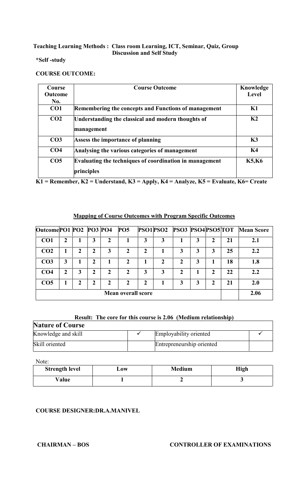#### **\*Self -study**

#### **COURSE OUTCOME:**

| Course          | <b>Course Outcome</b>                                            | Knowledge      |
|-----------------|------------------------------------------------------------------|----------------|
| <b>Outcome</b>  |                                                                  | Level          |
| No.             |                                                                  |                |
| CO <sub>1</sub> | Remembering the concepts and Functions of management             | K1             |
| CO <sub>2</sub> | Understanding the classical and modern thoughts of<br>management | K <sub>2</sub> |
| CO <sub>3</sub> | Assess the importance of planning                                | K3             |
| CO <sub>4</sub> | Analysing the various categories of management                   | K4             |
| CO <sub>5</sub> | Evaluating the techniques of coordination in management          | <b>K5,K6</b>   |
|                 | principles                                                       |                |

**K1 = Remember, K2 = Understand, K3 = Apply, K4 = Analyze, K5 = Evaluate, K6= Create**

### **Mapping of Course Outcomes with Program Specific Outcomes**

| Outcome PO1 PO2 PO3 PO4 |   |   |   |              | PO5                       |              |   | <b>PSO1PSO2 PSO3 PSO4PSO5TOT</b> |   |   |    | <b>Mean Score</b> |
|-------------------------|---|---|---|--------------|---------------------------|--------------|---|----------------------------------|---|---|----|-------------------|
| CO <sub>1</sub>         | 2 |   | 3 | 2            |                           | 3            | 3 |                                  | 3 |   | 21 | 2.1               |
| CO <sub>2</sub>         |   | 2 | 2 | 3            | 2                         | 2            |   | 3                                | 3 | 3 | 25 | 2.2               |
| CO <sub>3</sub>         | 3 |   | 2 |              | $\mathbf{2}$              |              | 2 | 2                                | 3 |   | 18 | 1.8               |
| CO <sub>4</sub>         | 2 | 3 | 2 | 2            | $\mathbf 2$               | 3            | 3 | 2                                |   | 2 | 22 | 2.2               |
| CO <sub>5</sub>         |   | 2 | 2 | $\mathbf{2}$ | $\mathbf{2}$              | $\mathbf{2}$ |   | 3                                | 3 | י | 21 | 2.0               |
|                         |   |   |   |              | <b>Mean overall score</b> |              |   |                                  |   |   |    | 2.06              |

### **Result: The core for this course is 2.06 (Medium relationship)**

| <b>Nature of Course</b> |  |                           |  |  |
|-------------------------|--|---------------------------|--|--|
| Knowledge and skill     |  | Employability oriented    |  |  |
| Skill oriented          |  | Entrepreneurship oriented |  |  |

Note:

| <b>Strength level</b> | $\mathbf{\boldsymbol{\omega}}$ ow | <b>Medium</b> | <b>High</b> |
|-----------------------|-----------------------------------|---------------|-------------|
| Value                 |                                   |               |             |

### **COURSE DESIGNER:DR.A.MANIVEL**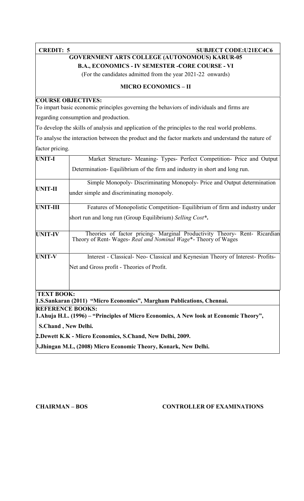#### **CREDIT: 5 SUBJECT CODE:U21EC4C6**

#### **GOVERNMENT ARTS COLLEGE (AUTONOMOUS) KARUR-05 B.A., ECONOMICS - IV SEMESTER -CORE COURSE - VI**

(For the candidates admitted from the year 2021-22 onwards)

#### **MICRO ECONOMICS – II**

#### **COURSE OBJECTIVES:**

To impart basic economic principles governing the behaviors of individuals and firms are

regarding consumption and production.

To develop the skills of analysis and application of the principles to the real world problems.

To analyse the interaction between the product and the factor markets and understand the nature of factor pricing.

| <b>UNIT-I</b>     | Market Structure- Meaning- Types- Perfect Competition- Price and Output                                                                    |
|-------------------|--------------------------------------------------------------------------------------------------------------------------------------------|
|                   | Determination-Equilibrium of the firm and industry in short and long run.                                                                  |
| UNIT-II           | Simple Monopoly-Discriminating Monopoly-Price and Output determination<br>under simple and discriminating monopoly.                        |
| <b>UNIT-III</b>   | Features of Monopolistic Competition-Equilibrium of firm and industry under                                                                |
|                   | short run and long run (Group Equilibrium) Selling Cost <sup>*</sup> .                                                                     |
| <b>UNIT-IV</b>    | Theories of factor pricing- Marginal Productivity Theory- Rent- Ricardian<br>Theory of Rent-Wages- Real and Nominal Wage*- Theory of Wages |
| <b>UNIT-V</b>     | Interest - Classical- Neo- Classical and Keynesian Theory of Interest- Profits-                                                            |
|                   | Net and Gross profit - Theories of Profit.                                                                                                 |
| <b>TEXT BOOK:</b> |                                                                                                                                            |
|                   | 1.S.Sankaran (2011) "Micro Economics", Margham Publications, Chennai.                                                                      |
|                   | <b>REFERENCE BOOKS:</b><br>1. Ahuja H.L. (1996) – "Principles of Micro Economics, A New look at Economic Theory",                          |
|                   | S.Chand, New Delhi.                                                                                                                        |

**2.Dewett K.K - Micro Economics, S.Chand, New Delhi, 2009.**

**3.Jhingan M.L, (2008) Micro Economic Theory, Konark, New Delhi.**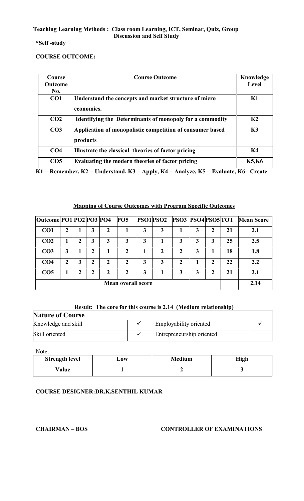#### **\*Self -study**

#### **COURSE OUTCOME:**

| Course          | <b>Course Outcome</b>                                                 | Knowledge      |
|-----------------|-----------------------------------------------------------------------|----------------|
| <b>Outcome</b>  |                                                                       | Level          |
| No.             |                                                                       |                |
| CO <sub>1</sub> | Understand the concepts and market structure of micro<br>economics.   | K1             |
| CO <sub>2</sub> | <b>Identifying the Determinants of monopoly for a commodity</b>       | K <sub>2</sub> |
| CO <sub>3</sub> | Application of monopolistic competition of consumer based<br>products | K3             |
| CO <sub>4</sub> | Illustrate the classical theories of factor pricing                   | <b>K4</b>      |
| CO <sub>5</sub> | Evaluating the modern theories of factor pricing                      | <b>K5,K6</b>   |

**K1 = Remember, K2 = Understand, K3 = Apply, K4 = Analyze, K5 = Evaluate, K6= Create**

#### **Mapping of Course Outcomes with Program Specific Outcomes**

| Outcome PO1 PO2 PO3 PO4 |                  |   |   |                | <b>PO5</b>                |   |   | <b>PSO1PSO2 PSO3 PSO4PSO5TOT</b> |   |              |    | <b>Mean Score</b> |
|-------------------------|------------------|---|---|----------------|---------------------------|---|---|----------------------------------|---|--------------|----|-------------------|
| CO <sub>1</sub>         | 2                |   | 3 | $\overline{2}$ |                           | 3 | 3 |                                  | 3 | 2            | 21 | 2.1               |
| CO <sub>2</sub>         |                  |   | 3 | 3              | 3                         | 3 |   |                                  | 3 | 3            | 25 | 2.5               |
| CO <sub>3</sub>         | 3                |   | 2 |                | 2                         |   | 2 | 2                                | 3 |              | 18 | 1.8               |
| CO <sub>4</sub>         | $\boldsymbol{2}$ | 3 | 2 | 2              | $\mathbf{2}$              | 3 | 3 | 2                                |   | $\mathbf{2}$ | 22 | 2.2               |
| CO <sub>5</sub>         |                  | 2 | 2 | $\mathbf{2}$   | $\mathbf{2}$              | 3 |   |                                  | 3 | 2            | 21 | 2.1               |
|                         |                  |   |   |                | <b>Mean overall score</b> |   |   |                                  |   |              |    | 2.14              |

#### **Result: The core for this course is 2.14 (Medium relationship)**

| <b>Nature of Course</b> |  |                           |  |  |  |  |  |
|-------------------------|--|---------------------------|--|--|--|--|--|
| Knowledge and skill     |  | Employability oriented    |  |  |  |  |  |
| Skill oriented          |  | Entrepreneurship oriented |  |  |  |  |  |

Note:

| <b>Strength level</b> | LOW | <b>Medium</b> | <b>High</b> |
|-----------------------|-----|---------------|-------------|
| Value                 |     |               |             |

#### **COURSE DESIGNER:DR.K.SENTHIL KUMAR**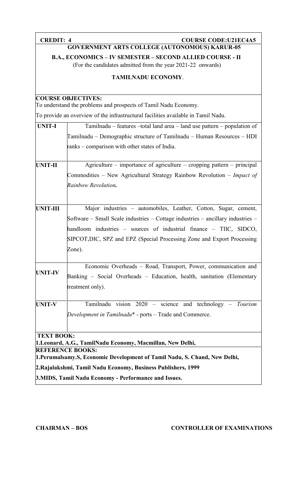| <b>CREDIT: 4</b>  | <b>COURSE CODE: U21EC4A5</b>                                                                                             |  |  |  |  |  |  |
|-------------------|--------------------------------------------------------------------------------------------------------------------------|--|--|--|--|--|--|
|                   | <b>GOVERNMENT ARTS COLLEGE (AUTONOMOUS) KARUR-05</b>                                                                     |  |  |  |  |  |  |
|                   | B.A., ECONOMICS - IV SEMESTER - SECOND ALLIED COURSE - II<br>(For the candidates admitted from the year 2021-22 onwards) |  |  |  |  |  |  |
|                   | <b>TAMILNADU ECONOMY.</b>                                                                                                |  |  |  |  |  |  |
|                   | <b>COURSE OBJECTIVES:</b>                                                                                                |  |  |  |  |  |  |
|                   | To understand the problems and prospects of Tamil Nadu Economy.                                                          |  |  |  |  |  |  |
|                   | To provide an overview of the infrastructural facilities available in Tamil Nadu.                                        |  |  |  |  |  |  |
| <b>UNIT-I</b>     | Tamilnadu – features –total land area – land use pattern – population of                                                 |  |  |  |  |  |  |
|                   | Tamilnadu – Demographic structure of Tamilnadu – Human Resources – HDI                                                   |  |  |  |  |  |  |
|                   | ranks – comparison with other states of India.                                                                           |  |  |  |  |  |  |
| UNIT-II           | Agriculture – importance of agriculture – cropping pattern – principal                                                   |  |  |  |  |  |  |
|                   | Commodities – New Agricultural Strategy Rainbow Revolution – Impact of                                                   |  |  |  |  |  |  |
|                   | Rainbow Revolution.                                                                                                      |  |  |  |  |  |  |
| <b>UNIT-III</b>   | Major industries - automobiles, Leather, Cotton, Sugar, cement,                                                          |  |  |  |  |  |  |
|                   | Software – Small Scale industries – Cottage industries – ancillary industries –                                          |  |  |  |  |  |  |
|                   | handloom industries – sources of industrial finance – TIIC, SIDCO,                                                       |  |  |  |  |  |  |
|                   | SIPCOT, DIC, SPZ and EPZ (Special Processing Zone and Export Processing                                                  |  |  |  |  |  |  |
|                   | Zone).                                                                                                                   |  |  |  |  |  |  |
|                   | Economic Overheads - Road, Transport, Power, communication and                                                           |  |  |  |  |  |  |
| <b>UNIT-IV</b>    | Banking – Social Overheads – Education, health, sanitation (Elementary                                                   |  |  |  |  |  |  |
|                   | treatment only).                                                                                                         |  |  |  |  |  |  |
| <b>UNIT-V</b>     | Tamilnadu vision 2020 - science and technology - Tourism                                                                 |  |  |  |  |  |  |
|                   | Development in Tamilnadu <sup>*</sup> - ports – Trade and Commerce.                                                      |  |  |  |  |  |  |
| <b>TEXT BOOK:</b> |                                                                                                                          |  |  |  |  |  |  |
|                   | 1. Leonard, A.G., TamilNadu Economy, Macmillan, New Delhi,                                                               |  |  |  |  |  |  |
|                   | <b>REFERENCE BOOKS:</b><br>1. Perumalsamy. S, Economic Development of Tamil Nadu, S. Chand, New Delhi,                   |  |  |  |  |  |  |
|                   | 2. Rajalakshmi, Tamil Nadu Economy, Business Publishers, 1999                                                            |  |  |  |  |  |  |
|                   | 3. MIDS, Tamil Nadu Economy - Performance and Issues.                                                                    |  |  |  |  |  |  |
|                   |                                                                                                                          |  |  |  |  |  |  |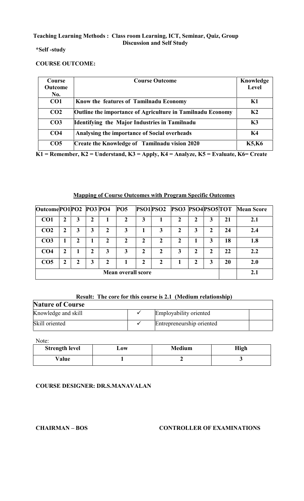#### **\*Self -study**

#### **COURSE OUTCOME:**

| Course                | <b>Course Outcome</b>                                             | Knowledge    |
|-----------------------|-------------------------------------------------------------------|--------------|
| <b>Outcome</b><br>No. |                                                                   | Level        |
| CO1                   | Know the features of Tamilnadu Economy                            | K1           |
| CO <sub>2</sub>       |                                                                   | K2           |
|                       | <b>Outline the importance of Agriculture in Tamilnadu Economy</b> |              |
| CO <sub>3</sub>       | Identifying the Major Industries in Tamilnadu                     | K3           |
| CO <sub>4</sub>       | Analysing the importance of Social overheads                      | K4           |
| CO <sub>5</sub>       | <b>Create the Knowledge of Tamilnadu vision 2020</b>              | <b>K5,K6</b> |

**K1 = Remember, K2 = Understand, K3 = Apply, K4 = Analyze, K5 = Evaluate, K6= Create**

#### **Mapping of Course Outcomes with Program Specific Outcomes**

| Outcome PO1 PO2 PO3 PO4 |   |   |   |              | <b>PO5</b>                |                |   |   |   |             |    | <b>PSO1PSO2 PSO3 PSO4PSO5TOT Mean Score</b> |
|-------------------------|---|---|---|--------------|---------------------------|----------------|---|---|---|-------------|----|---------------------------------------------|
| CO <sub>1</sub>         | 2 | 3 | 2 |              |                           | 3              |   |   | 2 | 3           | 21 | 2.1                                         |
| CO <sub>2</sub>         | 2 | 3 | 3 | 2            | 3                         |                | 3 |   | 3 | $\mathbf 2$ | 24 | 2.4                                         |
| CO <sub>3</sub>         |   | ∍ |   | $\mathbf{2}$ | 7                         | 2              | 2 | ר |   | 3           | 18 | 1.8                                         |
| CO <sub>4</sub>         | 2 |   | ר | 3            | 3                         | 2              | 2 |   | 2 | $\mathbf 2$ | 22 | 2.2                                         |
| CO <sub>5</sub>         | 2 | 2 | 3 | $\mathbf{2}$ |                           | $\overline{2}$ | 2 |   | 2 | 3           | 20 | 2.0                                         |
|                         |   |   |   |              | <b>Mean overall score</b> |                |   |   |   |             |    | 2.1                                         |

#### **Result: The core for this course is 2.1 (Medium relationship)**

| <b>Nature of Course</b> |  |                           |  |  |  |  |  |
|-------------------------|--|---------------------------|--|--|--|--|--|
| Knowledge and skill     |  | Employability oriented    |  |  |  |  |  |
| Skill oriented          |  | Entrepreneurship oriented |  |  |  |  |  |

Note:

| <b>Strength level</b> | $\mathbf{\mathbf{\omega}}$ | <b>Medium</b> | <b>High</b> |
|-----------------------|----------------------------|---------------|-------------|
| Value                 |                            |               |             |

#### **COURSE DESIGNER: DR.S.MANAVALAN**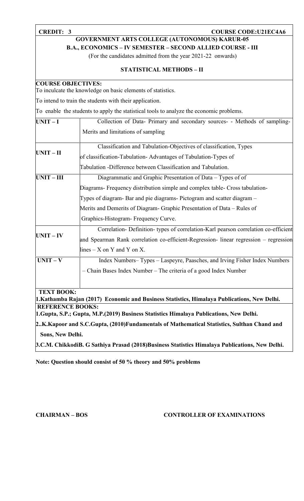#### **CREDIT: 3 COURSE CODE:U21EC4A6**

**GOVERNMENT ARTS COLLEGE (AUTONOMOUS) KARUR-05**

**B.A., ECONOMICS – IV SEMESTER – SECOND ALLIED COURSE - III**

(For the candidates admitted from the year 2021-22 onwards)

#### **STATISTICAL METHODS – II**

| <b>COURSE OBJECTIVES:</b> | To inculcate the knowledge on basic elements of statistics.                                     |  |  |  |  |  |
|---------------------------|-------------------------------------------------------------------------------------------------|--|--|--|--|--|
|                           | To intend to train the students with their application.                                         |  |  |  |  |  |
|                           | To enable the students to apply the statistical tools to analyze the economic problems.         |  |  |  |  |  |
| $UNIT-I$                  | Collection of Data- Primary and secondary sources- - Methods of sampling-                       |  |  |  |  |  |
|                           | Merits and limitations of sampling                                                              |  |  |  |  |  |
| $UNIT - II$               | Classification and Tabulation-Objectives of classification, Types                               |  |  |  |  |  |
|                           | of classification-Tabulation-Advantages of Tabulation-Types of                                  |  |  |  |  |  |
|                           | Tabulation -Difference between Classification and Tabulation.                                   |  |  |  |  |  |
| $UNIT - III$              | Diagrammatic and Graphic Presentation of Data - Types of of                                     |  |  |  |  |  |
|                           | Diagrams- Frequency distribution simple and complex table- Cross tabulation-                    |  |  |  |  |  |
|                           | Types of diagram- Bar and pie diagrams- Pictogram and scatter diagram –                         |  |  |  |  |  |
|                           | Merits and Demerits of Diagram- Graphic Presentation of Data – Rules of                         |  |  |  |  |  |
|                           | Graphics-Histogram- Frequency Curve.                                                            |  |  |  |  |  |
|                           | Correlation- Definition- types of correlation-Karl pearson correlation co-efficient             |  |  |  |  |  |
| $UNIT - IV$               | and Spearman Rank correlation co-efficient-Regression- linear regression – regression           |  |  |  |  |  |
|                           | lines $-X$ on Y and Y on X.                                                                     |  |  |  |  |  |
| $UNIT - V$                | Index Numbers-Types - Laspeyre, Paasches, and Irving Fisher Index Numbers                       |  |  |  |  |  |
|                           | - Chain Bases Index Number - The criteria of a good Index Number                                |  |  |  |  |  |
| <b>TEXT BOOK:</b>         | 1. Kathamba Rajan (2017) Economic and Business Statistics, Himalaya Publications, New Delhi.    |  |  |  |  |  |
| <b>REFERENCE BOOKS:</b>   |                                                                                                 |  |  |  |  |  |
|                           | 1. Gupta, S.P.; Gupta, M.P. (2019) Business Statistics Himalaya Publications, New Delhi.        |  |  |  |  |  |
|                           | 2K.Kapoor and S.C.Gupta, (2010)Fundamentals of Mathematical Statistics, Sulthan Chand and       |  |  |  |  |  |
| Sons, New Delhi.          |                                                                                                 |  |  |  |  |  |
|                           | 3.C.M. ChikkodiB. G Sathiya Prasad (2018) Business Statistics Himalaya Publications, New Delhi. |  |  |  |  |  |

**Note: Question should consist of 50 % theory and 50% problems**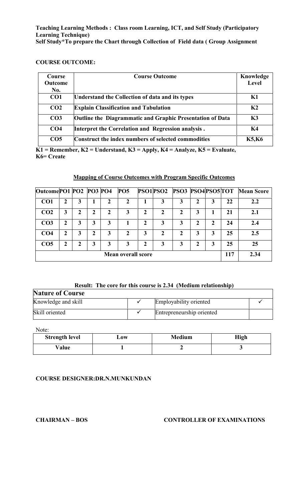**Teaching Learning Methods : Class room Learning, ICT, and Self Study (Participatory Learning Technique) Self Study\*To prepare the Chart through Collection of Field data ( Group Assignment**

#### **COURSE OUTCOME:**

| <b>Course</b>   | <b>Course Outcome</b>                                     | Knowledge      |
|-----------------|-----------------------------------------------------------|----------------|
| <b>Outcome</b>  |                                                           | <b>Level</b>   |
| No.             |                                                           |                |
| CO <sub>1</sub> | Understand the Collection of data and its types           | K1             |
| CO <sub>2</sub> | <b>Explain Classification and Tabulation</b>              | K <sub>2</sub> |
| CO <sub>3</sub> | Outline the Diagrammatic and Graphic Presentation of Data | K3             |
| CO <sub>4</sub> | Interpret the Correlation and Regression analysis.        | K <sub>4</sub> |
| CO <sub>5</sub> | Construct the index numbers of selected commodities       | <b>K5,K6</b>   |

**K1 = Remember, K2 = Understand, K3 = Apply, K4 = Analyze, K5 = Evaluate, K6= Create**

#### **Mapping of Course Outcomes with Program Specific Outcomes**

| Outcome PO1 PO2 PO3 PO4 |   |   |   |   | <b>PO5</b>                |               | PSO1PSO2     | <b>PSO3 PSO4PSO5TOT</b> |   |   |     | <b>Mean Score</b> |
|-------------------------|---|---|---|---|---------------------------|---------------|--------------|-------------------------|---|---|-----|-------------------|
| CO <sub>1</sub>         | 2 | 3 |   |   | $\overline{2}$            |               | 3            | 3                       | 2 | 3 | 22  | 2.2               |
| CO <sub>2</sub>         | 3 |   | 2 | 2 | 3                         | 2             | $\mathbf{2}$ |                         | 3 |   | 21  | 2.1               |
| CO <sub>3</sub>         | 2 | 3 | 3 | 3 |                           | $\mathbf 2$   | 3            | 3                       | 2 | 2 | 24  | 2.4               |
| CO <sub>4</sub>         | 2 | 3 | 2 | 3 | 2                         | 3             | 2            |                         | 3 | 3 | 25  | 2.5               |
| CO <sub>5</sub>         | 2 | 2 | 3 | 3 | 3                         | $\mathcal{P}$ | 3            | 3                       | 2 | 3 | 25  | 25                |
|                         |   |   |   |   | <b>Mean overall score</b> |               |              |                         |   |   | 117 | 2.34              |

#### **Result: The core for this course is 2.34 (Medium relationship)**

| <b>Nature of Course</b> |  |                           |  |  |  |  |  |
|-------------------------|--|---------------------------|--|--|--|--|--|
| Knowledge and skill     |  | Employability oriented    |  |  |  |  |  |
| Skill oriented          |  | Entrepreneurship oriented |  |  |  |  |  |

Note:

| <b>Strength level</b> | L0W | <b>Medium</b> | <b>High</b> |
|-----------------------|-----|---------------|-------------|
| $v_{\rm alue}$        |     |               |             |

#### **COURSE DESIGNER:DR.N.MUNKUNDAN**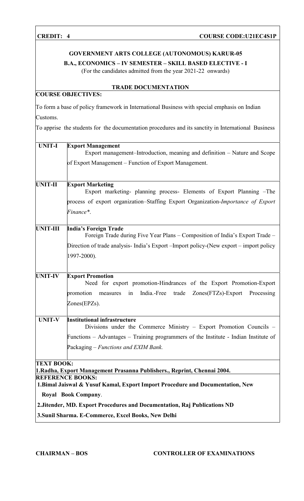#### **GOVERNMENT ARTS COLLEGE (AUTONOMOUS) KARUR-05**

### **B.A., ECONOMICS – IV SEMESTER – SKILL BASED ELECTIVE - I**

(For the candidates admitted from the year 2021-22 onwards)

### **COURSE OBJECTIVES:**

#### **TRADE DOCUMENTATION**

To form a base of policy framework in International Business with special emphasis on Indian Customs.

To apprise the students for the documentation procedures and its sanctity in International Business

| <b>UNIT-I</b>     | <b>Export Management</b><br>Export management–Introduction, meaning and definition – Nature and Scope        |
|-------------------|--------------------------------------------------------------------------------------------------------------|
|                   |                                                                                                              |
|                   | of Export Management – Function of Export Management.                                                        |
| <b>UNIT-II</b>    | <b>Export Marketing</b><br>Export marketing- planning process- Elements of Export Planning -The              |
|                   | process of export organization–Staffing Export Organization-Importance of Export                             |
|                   | Finance*.                                                                                                    |
| <b>UNIT-III</b>   | <b>India's Foreign Trade</b><br>Foreign Trade during Five Year Plans – Composition of India's Export Trade – |
|                   | Direction of trade analysis- India's Export - Import policy-(New export - import policy                      |
|                   | 1997-2000).                                                                                                  |
| <b>UNIT-IV</b>    | <b>Export Promotion</b>                                                                                      |
|                   | Need for export promotion-Hindrances of the Export Promotion-Export                                          |
|                   | promotion<br>India.-Free<br>$Zones(FTZs)$ -Export<br>Processing<br>measures<br>trade<br>in                   |
|                   | $Zones(EPZs)$ .                                                                                              |
| <b>UNIT-V</b>     | <b>Institutional infrastructure</b><br>Divisions under the Commerce Ministry – Export Promotion Councils –   |
|                   | Functions – Advantages – Training programmers of the Institute - Indian Institute of                         |
|                   | Packaging – Functions and EXIM Bank.                                                                         |
| <b>TEXT BOOK:</b> |                                                                                                              |
|                   | 1. Radha, Export Management Prasanna Publishers., Reprint, Chennai 2004.<br><b>REFERENCE BOOKS:</b>          |
|                   | 1. Bimal Jaiswal & Yusuf Kamal, Export Import Procedure and Documentation, New                               |
|                   | Royal Book Company.                                                                                          |
|                   | 2. Jitender, MD. Export Procedures and Documentation, Raj Publications ND                                    |
|                   | 3. Sunil Sharma. E-Commerce, Excel Books, New Delhi                                                          |
|                   |                                                                                                              |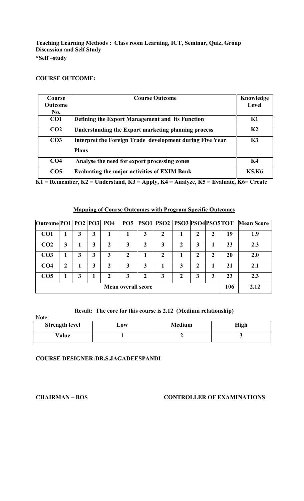#### **COURSE OUTCOME:**

| <b>Course</b>   | <b>Course Outcome</b>                                    | Knowledge      |
|-----------------|----------------------------------------------------------|----------------|
| <b>Outcome</b>  |                                                          | Level          |
| No.             |                                                          |                |
| CO <sub>1</sub> | Defining the Export Management and its Function          | K1             |
| CO <sub>2</sub> | Understanding the Export marketing planning process      | K <sub>2</sub> |
| CO <sub>3</sub> | Interpret the Foreign Trade development during Five Year | K3             |
|                 | <b>Plans</b>                                             |                |
| CO <sub>4</sub> | Analyse the need for export processing zones             | K <sub>4</sub> |
| CO <sub>5</sub> | <b>Evaluating the major activities of EXIM Bank</b>      | <b>K5,K6</b>   |

**K1 = Remember, K2 = Understand, K3 = Apply, K4 = Analyze, K5 = Evaluate, K6= Create**

#### **Mapping of Course Outcomes with Program Specific Outcomes**

| Outcome PO1   PO2   PO3   PO4 |   |   |   | <b>PO5</b>                |   | <b>PSO1 PSO2 PSO3 PSO4 PSO5 TOT</b> |   |              |             |     | <b>Mean Score</b> |
|-------------------------------|---|---|---|---------------------------|---|-------------------------------------|---|--------------|-------------|-----|-------------------|
| CO <sub>1</sub>               |   | 3 |   |                           | 3 |                                     |   | 2            | 2           | 19  | 1.9               |
| CO <sub>2</sub>               | 3 | 3 | 2 | 3                         | 2 | 3                                   | 2 | 3            |             | 23  | 2.3               |
| CO <sub>3</sub>               |   | 3 | 3 | 2                         |   | 2                                   |   | 2            | $\mathbf 2$ | 20  | 2.0               |
| CO <sub>4</sub>               |   | 3 | 2 | 3                         | 3 |                                     | 3 | $\mathbf{2}$ |             | 21  | 2.1               |
| CO <sub>5</sub>               |   |   | 2 | 3                         | 2 | 3                                   |   | 3            | 3           | 23  | 2.3               |
|                               |   |   |   | <b>Mean overall score</b> |   |                                     |   |              |             | 106 | 2.12              |

#### **Result: The core for this course is 2.12 (Medium relationship)**

Note:

| .                     |                      |               |      |
|-----------------------|----------------------|---------------|------|
| <b>Strength level</b> | $\mathbf{\omega}$ ow | <b>Medium</b> | High |
| ${\rm Value}$         |                      |               |      |

**COURSE DESIGNER:DR.S.JAGADEESPANDI**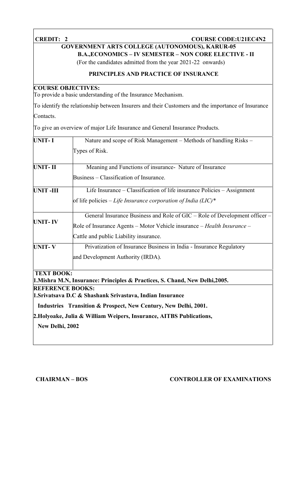### **CREDIT: 2 COURSE CODE:U21EC4N2**

### **GOVERNMENT ARTS COLLEGE (AUTONOMOUS), KARUR-05**

**B.A.,ECONOMICS – IV SEMESTER – NON CORE ELECTIVE - II**

(For the candidates admitted from the year 2021-22 onwards)

#### **PRINCIPLES AND PRACTICE OF INSURANCE**

#### **COURSE OBJECTIVES:**

To provide a basic understanding of the Insurance Mechanism.

To identify the relationship between Insurers and their Customers and the importance of Insurance Contacts.

To give an overview of major Life Insurance and General Insurance Products.

| <b>UNIT-I</b>           | Nature and scope of Risk Management – Methods of handling Risks –            |
|-------------------------|------------------------------------------------------------------------------|
|                         | Types of Risk.                                                               |
| <b>UNIT-II</b>          | Meaning and Functions of insurance- Nature of Insurance                      |
|                         | Business – Classification of Insurance.                                      |
| <b>UNIT-III</b>         | Life Insurance – Classification of life insurance Policies – Assignment      |
|                         | of life policies – Life Insurance corporation of India (LIC)*                |
|                         | General Insurance Business and Role of GIC – Role of Development officer –   |
| <b>UNIT-IV</b>          | Role of Insurance Agents – Motor Vehicle insurance – Health Insurance –      |
|                         | Cattle and public Liability insurance.                                       |
| <b>UNIT-V</b>           | Privatization of Insurance Business in India - Insurance Regulatory          |
|                         | and Development Authority (IRDA).                                            |
| <b>TEXT BOOK:</b>       | 1. Mishra M.N, Insurance: Principles & Practices, S. Chand, New Delhi, 2005. |
| <b>REFERENCE BOOKS:</b> | 1. Srivatsava D.C & Shashank Srivastava, Indian Insurance                    |
|                         | Industries Transition & Prospect, New Century, New Delhi, 2001.              |
|                         |                                                                              |

**2.Holyoake, Julia & William Weipers, Insurance, AITBS Publications,**

**New Delhi, 2002**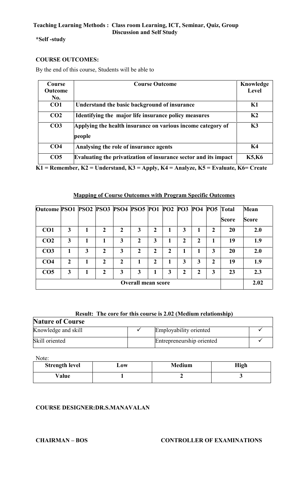#### **\*Self -study**

#### **COURSE OUTCOMES:**

By the end of this course, Students will be able to

| Course          | <b>Course Outcome</b>                                                 | Knowledge      |
|-----------------|-----------------------------------------------------------------------|----------------|
| <b>Outcome</b>  |                                                                       | <b>Level</b>   |
| No.             |                                                                       |                |
| CO1             | Understand the basic background of insurance                          | K1             |
| CO <sub>2</sub> | Identifying the major life insurance policy measures                  | K <sub>2</sub> |
| CO <sub>3</sub> | Applying the health insurance on various income category of<br>people | K3             |
| CO <sub>4</sub> | Analysing the role of insurance agents                                | K4             |
| CO <sub>5</sub> | Evaluating the privatization of insurance sector and its impact       | <b>K5,K6</b>   |

**K1 = Remember, K2 = Understand, K3 = Apply, K4 = Analyze, K5 = Evaluate, K6= Create**

#### **Mapping of Course Outcomes with Program Specific Outcomes**

| Outcome PSO1 PSO2 PSO3 PSO4 PSO5 PO1 PO2 PO3 PO4 PO5 Total |                |   |               |              |                           |                  |   |             |   |   |       | <b>Mean</b>  |
|------------------------------------------------------------|----------------|---|---------------|--------------|---------------------------|------------------|---|-------------|---|---|-------|--------------|
|                                                            |                |   |               |              |                           |                  |   |             |   |   | Score | <b>Score</b> |
| CO <sub>1</sub>                                            | 3              |   | $\mathbf 2$   | 2            | 3                         | $\mathbf{2}$     |   | 3           |   | 2 | 20    | 2.0          |
| CO <sub>2</sub>                                            | 3              |   |               | 3            | 2                         | 3                |   | 2           | 2 |   | 19    | 1.9          |
| CO <sub>3</sub>                                            |                | 3 | 2             | 3            | $\mathbf{2}$              | 2                | 2 |             |   | 3 | 20    | 2.0          |
| CO <sub>4</sub>                                            | $\overline{2}$ |   | $\mathbf{2}$  | $\mathbf{2}$ |                           | $\boldsymbol{2}$ |   | 3           | 3 | 2 | 19    | 1.9          |
| CO <sub>5</sub>                                            | 3              |   | $\mathcal{D}$ | 3            | 3                         |                  | 3 | $\mathbf 2$ | 2 | 3 | 23    | 2.3          |
|                                                            |                |   |               |              | <b>Overall mean score</b> |                  |   |             |   |   |       | 2.02         |

#### **Result: The core for this course is 2.02 (Medium relationship)**

| <b>Nature of Course</b> |  |                           |  |  |
|-------------------------|--|---------------------------|--|--|
| Knowledge and skill     |  | Employability oriented    |  |  |
| Skill oriented          |  | Entrepreneurship oriented |  |  |

Note:

| <b>Strength level</b> | $\mathbf{J}$ ow | <b>Medium</b> | High |
|-----------------------|-----------------|---------------|------|
| Value                 |                 |               |      |

#### **COURSE DESIGNER:DR.S.MANAVALAN**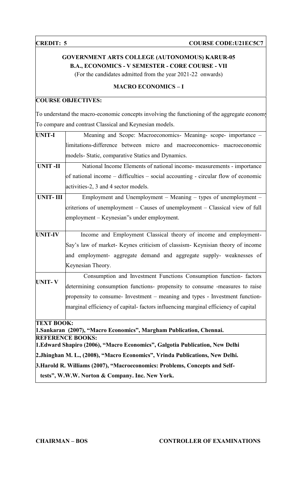#### **CREDIT: 5 COURSE COURSE CODE:U21EC5C7**

### **GOVERNMENT ARTS COLLEGE (AUTONOMOUS) KARUR-05 B.A., ECONOMICS - V SEMESTER - CORE COURSE - VII**

(For the candidates admitted from the year 2021-22 onwards)

#### **MACRO ECONOMICS – I**

### **COURSE OBJECTIVES:**

To understand the macro-economic concepts involving the functioning of the aggregate economy To compare and contrast Classical and Keynesian models.

| <b>UNIT-I</b>     | Meaning and Scope: Macroeconomics- Meaning- scope- importance -                   |
|-------------------|-----------------------------------------------------------------------------------|
|                   | limitations-difference between micro and macroeconomics- macroeconomic            |
|                   | models- Static, comparative Statics and Dynamics.                                 |
| <b>UNIT-II</b>    | National Income Elements of national income- measurements - importance            |
|                   | of national income – difficulties – social accounting - circular flow of economic |
|                   | activities-2, 3 and 4 sector models.                                              |
| <b>UNIT-III</b>   | Employment and Unemployment – Meaning – types of unemployment –                   |
|                   | criterions of unemployment – Causes of unemployment – Classical view of full      |
|                   | employment – Keynesian''s under employment.                                       |
| <b>UNIT-IV</b>    | Income and Employment Classical theory of income and employment-                  |
|                   | Say's law of market- Keynes criticism of classism- Keynisian theory of income     |
|                   | and employment- aggregate demand and aggregate supply- weaknesses of              |
|                   | Keynesian Theory.                                                                 |
|                   | Consumption and Investment Functions Consumption function- factors                |
| <b>UNIT-V</b>     | determining consumption functions- propensity to consume -measures to raise       |
|                   | propensity to consume- Investment – meaning and types - Investment function-      |
|                   | marginal efficiency of capital-factors influencing marginal efficiency of capital |
| <b>TEXT BOOK:</b> | 1. Sankaran (2007), "Macro Economics", Margham Publication, Chennai.              |
|                   | <b>REFERENCE BOOKS:</b>                                                           |
|                   | 1. Edward Shapiro (2006), "Macro Economics", Galgotia Publication, New Delhi      |
|                   | 2.Jhinghan M. L., (2008), "Macro Economics", Vrinda Publications, New Delhi.      |
|                   | 3. Harold R. Williams (2007), "Macroeconomics: Problems, Concepts and Self-       |
|                   | tests", W.W.W. Norton & Company. Inc. New York.                                   |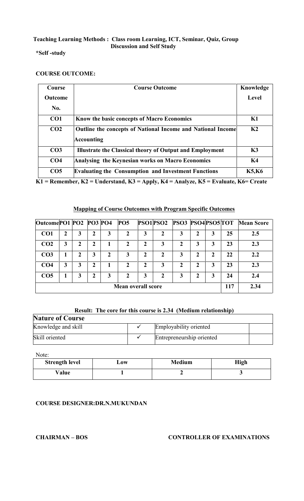#### **\*Self -study**

#### **COURSE OUTCOME:**

| Course          | <b>Course Outcome</b>                                                            | Knowledge      |
|-----------------|----------------------------------------------------------------------------------|----------------|
| <b>Outcome</b>  |                                                                                  | Level          |
| No.             |                                                                                  |                |
| CO <sub>1</sub> | Know the basic concepts of Macro Economics                                       | K1             |
| CO <sub>2</sub> | Outline the concepts of National Income and National Income<br><b>Accounting</b> | K <sub>2</sub> |
| CO <sub>3</sub> | <b>Illustrate the Classical theory of Output and Employment</b>                  | K3             |
| CO <sub>4</sub> | Analysing the Keynesian works on Macro Economics                                 | K <sub>4</sub> |
| CO <sub>5</sub> | <b>Evaluating the Consumption and Investment Functions</b>                       | <b>K5,K6</b>   |

**K1 = Remember, K2 = Understand, K3 = Apply, K4 = Analyze, K5 = Evaluate, K6= Create**

#### **Mapping of Course Outcomes with Program Specific Outcomes**

| Outcome PO1 PO2 PO3 PO4 |   |   |   |   | <b>PO5</b>     |                           |   | PSO1PSO2 PSO3 PSO4PSO5TOT |   |             |     | <b>Mean Score</b> |
|-------------------------|---|---|---|---|----------------|---------------------------|---|---------------------------|---|-------------|-----|-------------------|
| CO <sub>1</sub>         | ኀ | 3 | 2 | 3 |                | 3                         | 2 | 3                         | 2 | 3           | 25  | 2.5               |
| CO <sub>2</sub>         | 3 |   | 2 |   | 2              | $\mathbf{2}$              | 3 |                           | 3 | 3           | 23  | 2.3               |
| CO <sub>3</sub>         |   | ר | 3 | 2 | 3              | 2                         | 2 | 3                         | 2 | $\mathbf 2$ | 22  | 2.2               |
| CO <sub>4</sub>         | 3 | 3 | 2 |   | $\overline{2}$ | 2                         | 3 | 2                         | 2 | 3           | 23  | 2.3               |
| CO <sub>5</sub>         |   | 3 | 2 | 3 | 2              | 3                         | 2 |                           | 2 | 3           | 24  | 2.4               |
|                         |   |   |   |   |                | <b>Mean overall score</b> |   |                           |   |             | 117 | 2.34              |

#### **Result: The core for this course is 2.34 (Medium relationship)**

| <b>Nature of Course</b> |                           |  |
|-------------------------|---------------------------|--|
| Knowledge and skill     | Employability oriented    |  |
| Skill oriented          | Entrepreneurship oriented |  |

Note:

| <b>Strength level</b> | $-0W$ | <b>Medium</b> | High |
|-----------------------|-------|---------------|------|
| Value                 |       |               |      |

#### **COURSE DESIGNER:DR.N.MUKUNDAN**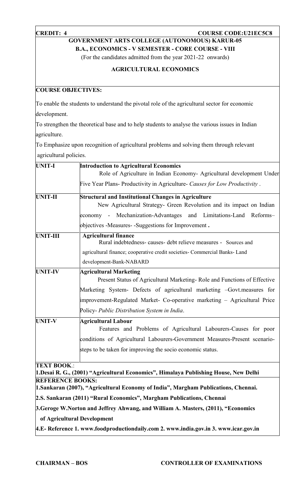#### **CREDIT: 4 COURSE CODE:U21EC5C8**

**GOVERNMENT ARTS COLLEGE (AUTONOMOUS) KARUR-05**

**B.A., ECONOMICS - V SEMESTER - CORE COURSE - VIII**

(For the candidates admitted from the year 2021-22 onwards)

#### **AGRICULTURAL ECONOMICS**

#### **COURSE OBJECTIVES:**

To enable the students to understand the pivotal role of the agricultural sector for economic development.

To strengthen the theoretical base and to help students to analyse the various issues in Indian agriculture.

To Emphasize upon recognition of agricultural problems and solving them through relevant agricultural policies.

| <b>UNIT-I</b>           | <b>Introduction to Agricultural Economics</b><br>Role of Agriculture in Indian Economy- Agricultural development Under             |
|-------------------------|------------------------------------------------------------------------------------------------------------------------------------|
|                         |                                                                                                                                    |
|                         | Five Year Plans- Productivity in Agriculture- Causes for Low Productivity.                                                         |
| <b>UNIT-II</b>          | <b>Structural and Institutional Changes in Agriculture</b><br>New Agricultural Strategy- Green Revolution and its impact on Indian |
|                         | and Limitations-Land<br>economy - Mechanization-Advantages<br>Reforms-                                                             |
|                         | objectives -Measures- -Suggestions for Improvement.                                                                                |
| <b>UNIT-III</b>         | <b>Agricultural finance</b><br>Rural indebtedness-causes- debt relieve measures - Sources and                                      |
|                         | agricultural finance; cooperative credit societies- Commercial Banks- Land                                                         |
|                         | development-Bank-NABARD                                                                                                            |
| <b>UNIT-IV</b>          | <b>Agricultural Marketing</b>                                                                                                      |
|                         | Present Status of Agricultural Marketing-Role and Functions of Effective                                                           |
|                         | Marketing System- Defects of agricultural marketing -Govt.measures for                                                             |
|                         | improvement-Regulated Market- Co-operative marketing – Agricultural Price                                                          |
|                         | Policy- Public Distribution System in India.                                                                                       |
| <b>UNIT-V</b>           | <b>Agricultural Labour</b>                                                                                                         |
|                         | Features and Problems of Agricultural Labourers-Causes for poor                                                                    |
|                         | conditions of Agricultural Labourers-Government Measures-Present scenario-                                                         |
|                         | steps to be taken for improving the socio economic status.                                                                         |
| <b>TEXT BOOK.:</b>      |                                                                                                                                    |
|                         | 1. Desai R. G., (2001) "Agricultural Economics", Himalaya Publishing House, New Delhi                                              |
| <b>REFERENCE BOOKS:</b> |                                                                                                                                    |
|                         | 1. Sankaran (2007), "Agricultural Economy of India", Margham Publications, Chennai.                                                |
|                         | 2.S. Sankaran (2011) "Rural Economics", Margham Publications, Chennai                                                              |
|                         | 3. Geroge W. Norton and Jeffrey Ahwang, and William A. Masters, (2011), "Economics                                                 |
|                         | of Agricultural Development                                                                                                        |
|                         | 4.E-Reference 1. www.foodproductiondaily.com 2. www.india.gov.in 3. www.icar.gov.in                                                |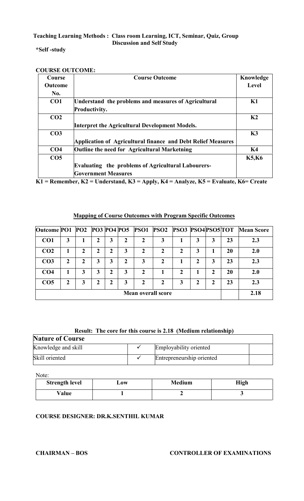#### **\*Self -study**

| Course          | <b>Course Outcome</b>                                        | Knowledge      |
|-----------------|--------------------------------------------------------------|----------------|
| <b>Outcome</b>  |                                                              | Level          |
| No.             |                                                              |                |
| CO <sub>1</sub> | Understand the problems and measures of Agricultural         | K1             |
|                 | Productivity.                                                |                |
| CO <sub>2</sub> |                                                              | K <sub>2</sub> |
|                 | Interpret the Agricultural Development Models.               |                |
| CO <sub>3</sub> |                                                              | K3             |
|                 | Application of Agricultural finance and Debt Relief Measures |                |
| CO <sub>4</sub> | Outline the need for Agricultural Marketning                 | K4             |
| CO <sub>5</sub> |                                                              | <b>K5,K6</b>   |
|                 | <b>Evaluating the problems of Agricultural Labourers-</b>    |                |
|                 | <b>Government Measures</b>                                   |                |

**K1 = Remember, K2 = Understand, K3 = Apply, K4 = Analyze, K5 = Evaluate, K6= Create**

#### **Mapping of Course Outcomes with Program Specific Outcomes**

| <b>Outcome PO1</b> |   |   |   |   |   | <b>PO2 PO3 PO4 PO5 PSO1</b> | <b>PSO2 PSO3 PSO4PSO5TOT</b> |   |   |                |    | <b>Mean Score</b> |
|--------------------|---|---|---|---|---|-----------------------------|------------------------------|---|---|----------------|----|-------------------|
| CO <sub>1</sub>    | 3 |   |   | 3 |   |                             | 3                            |   | 3 | 3              | 23 | 2.3               |
| CO <sub>2</sub>    |   | 2 | 2 | 2 | 3 | $\mathbf{2}$                | 2                            | 2 | 3 |                | 20 | 2.0               |
| CO <sub>3</sub>    | 2 | 2 | 3 | 3 |   | 3                           |                              |   | 2 | 3              | 23 | 2.3               |
| CO <sub>4</sub>    |   | 3 | 3 | 2 | 3 | 2                           |                              |   |   | $\mathfrak{D}$ | 20 | <b>2.0</b>        |
| CO <sub>5</sub>    | 2 | 3 | 2 | 2 | 3 | 2                           |                              | 3 | 2 | 2              | 23 | 2.3               |
|                    |   |   |   |   |   |                             | Mean overall score           |   |   |                |    | 2.18              |

#### **Result: The core for this course is 2.18 (Medium relationship)**

| <b>Nature of Course</b> |                           |  |
|-------------------------|---------------------------|--|
| Knowledge and skill     | Employability oriented    |  |
| Skill oriented          | Entrepreneurship oriented |  |

Note:

| <b>Strength level</b> | Low | <b>Medium</b> | High |
|-----------------------|-----|---------------|------|
| Value                 |     |               |      |

#### **COURSE DESIGNER: DR.K.SENTHIL KUMAR**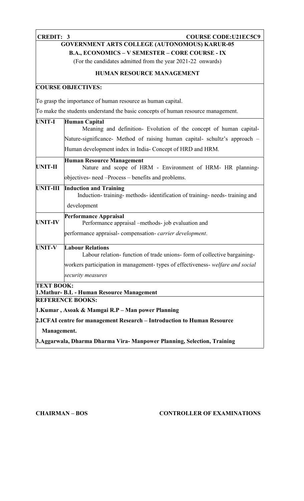#### **CREDIT: 3 COURSE CODE:U21EC5C9**

# **GOVERNMENT ARTS COLLEGE (AUTONOMOUS) KARUR-05**

**B.A., ECONOMICS – V SEMESTER – CORE COURSE - IX**

(For the candidates admitted from the year 2021-22 onwards)

#### **HUMAN RESOURCE MANAGEMENT**

#### **COURSE OBJECTIVES:**

To grasp the importance of human resource as human capital.

To make the students understand the basic concepts of human resource management.

| <b>UNIT-I</b>     | <b>Human Capital</b>                                                                                      |
|-------------------|-----------------------------------------------------------------------------------------------------------|
|                   | Meaning and definition- Evolution of the concept of human capital-                                        |
|                   | Nature-significance- Method of raising human capital- schultz's approach -                                |
|                   | Human development index in India- Concept of HRD and HRM.                                                 |
| <b>UNIT-II</b>    | <b>Human Resource Management</b><br>Nature and scope of HRM - Environment of HRM- HR planning-            |
|                   | objectives- need –Process – benefits and problems.                                                        |
| <b>UNIT-III</b>   | <b>Induction and Training</b><br>Induction-training-methods-identification of training-needs-training and |
|                   | development                                                                                               |
| <b>UNIT-IV</b>    | <b>Performance Appraisal</b><br>Performance appraisal -methods- job evaluation and                        |
|                   | performance appraisal-compensation-carrier development.                                                   |
| <b>UNIT-V</b>     | <b>Labour Relations</b><br>Labour relation-function of trade unions-form of collective bargaining-        |
|                   | workers participation in management-types of effectiveness-welfare and social                             |
|                   | security measures                                                                                         |
| <b>TEXT BOOK:</b> | 1. Mathur- B.L - Human Resource Management                                                                |
|                   | <b>REFERENCE BOOKS:</b>                                                                                   |
|                   | 1. Kumar, Asoak & Mamgai R.P – Man power Planning                                                         |
|                   | 2.ICFAI centre for management Research – Introduction to Human Resource                                   |
| Management.       |                                                                                                           |
|                   | 3. Aggarwala, Dharma Dharma Vira- Manpower Planning, Selection, Training                                  |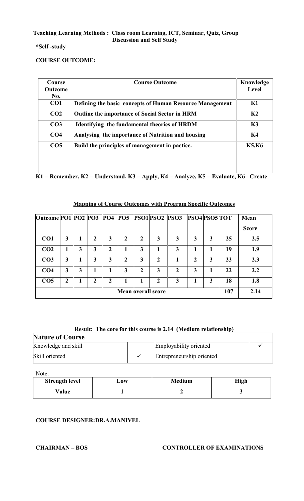**\*Self -study**

#### **COURSE OUTCOME:**

| Course          | <b>Course Outcome</b>                                    | Knowledge      |
|-----------------|----------------------------------------------------------|----------------|
| <b>Outcome</b>  |                                                          | Level          |
| No.             |                                                          |                |
| CO <sub>1</sub> | Defining the basic concepts of Human Resource Management | K1             |
| CO <sub>2</sub> | <b>Outline the importance of Social Sector in HRM</b>    | K <sub>2</sub> |
| CO <sub>3</sub> | Identifying the fundamental theories of HRDM             | K3             |
| CO <sub>4</sub> | Analysing the importance of Nutrition and housing        | K4             |
| CO <sub>5</sub> | Build the principles of management in pactice.           | <b>K5,K6</b>   |
|                 |                                                          |                |
|                 |                                                          |                |
|                 |                                                          |                |

**K1 = Remember, K2 = Understand, K3 = Apply, K4 = Analyze, K5 = Evaluate, K6= Create**

| Outcome PO1 PO2 PO3 PO4 |              |   |                |                | <b>PO5</b>     |                           |              | <b>PSO1 PSO2 PSO3</b> | PSO4 PSO5 TOT |   |     | Mean         |
|-------------------------|--------------|---|----------------|----------------|----------------|---------------------------|--------------|-----------------------|---------------|---|-----|--------------|
|                         |              |   |                |                |                |                           |              |                       |               |   |     | <b>Score</b> |
| CO <sub>1</sub>         | 3            |   | $\mathbf{2}$   | 3              | 2              | $\mathbf{2}$              | 3            | 3                     | 3             | 3 | 25  | 2.5          |
| CO <sub>2</sub>         | 1            | 3 | 3              | $\mathbf{2}$   |                | 3                         |              | 3                     | 1             |   | 19  | 1.9          |
| CO <sub>3</sub>         | 3            |   | 3              | 3              | $\overline{2}$ | 3                         | $\mathbf{2}$ |                       | $\mathbf 2$   | 3 | 23  | 2.3          |
| CO <sub>4</sub>         | 3            | 3 |                |                | 3              | $\mathfrak{p}$            | 3            | $\mathfrak{D}$        | 3             |   | 22  | 2.2          |
| CO <sub>5</sub>         | $\mathbf{2}$ |   | $\overline{2}$ | $\overline{2}$ |                | 1                         | $\mathbf{2}$ | 3                     |               | 3 | 18  | 1.8          |
|                         |              |   |                |                |                | <b>Mean overall score</b> |              |                       |               |   | 107 | 2.14         |

#### **Mapping of Course Outcomes with Program Specific Outcomes**

### **Result: The core for this course is 2.14 (Medium relationship)**

| <b>Nature of Course</b> |  |                           |  |  |  |  |
|-------------------------|--|---------------------------|--|--|--|--|
| Knowledge and skill     |  | Employability oriented    |  |  |  |  |
| Skill oriented          |  | Entrepreneurship oriented |  |  |  |  |

Note:

| <b>Strength level</b> | $-0W$ | <b>Medium</b> | <b>High</b> |
|-----------------------|-------|---------------|-------------|
| Value                 |       |               |             |

#### **COURSE DESIGNER:DR.A.MANIVEL**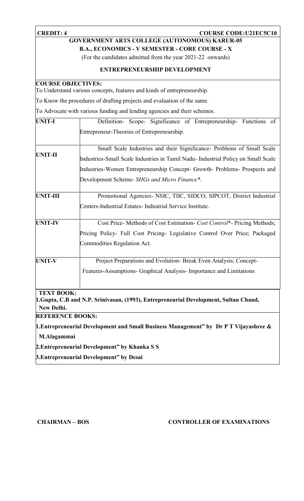#### **CREDIT: 4 COURSE COURSE CODE:U21EC5C10**

### **GOVERNMENT ARTS COLLEGE (AUTONOMOUS) KARUR-05**

**B.A., ECONOMICS - V SEMESTER - CORE COURSE - X**

(For the candidates admitted from the year 2021-22 onwards)

#### **ENTREPRENEURSHIP DEVELOPMENT**

#### **COURSE OBJECTIVES:**

To Understand various concepts, features and kinds of entrepreneurship.

To Know the procedures of drafting projects and evaluation of the same.

To Advocate with various funding and lending agencies and their schemes.

| <b>UNIT-I</b>           | Definition- Scope- Significance of Entrepreneurship- Functions of                     |
|-------------------------|---------------------------------------------------------------------------------------|
|                         | Entrepreneur-Theories of Entrepreneurship.                                            |
|                         | Small Scale Industries and their Significance- Problems of Small Scale                |
| UNIT-II                 | Industries-Small Scale Industries in Tamil Nadu- Industrial Policy on Small Scale     |
|                         | Industries-Women Entrepreneurship Concept- Growth- Problems- Prospects and            |
|                         | Development Scheme- SHGs and Micro Finance*.                                          |
| <b>UNIT-III</b>         | Promotional Agencies- NSIC, TIIC, SIDCO, SIPCOT, District Industrial                  |
|                         | Centers-Industrial Estates- Industrial Service Institute.                             |
| <b>UNIT-IV</b>          | Cost Price- Methods of Cost Estimation- Cost Control*- Pricing Methods;               |
|                         | Pricing Policy- Full Cost Pricing- Legislative Control Over Price; Packaged           |
|                         | <b>Commodities Regulation Act.</b>                                                    |
| <b>UNIT-V</b>           | Project Preparations and Evolution-Break Even Analysis; Concept-                      |
|                         | Features-Assumptions- Graphical Analysis- Importance and Limitations                  |
| <b>TEXT BOOK:</b>       |                                                                                       |
| New Delhi.              | 1. Gupta, C.B and N.P. Srinivasan, (1993), Entrepreneurial Development, Sultan Chand, |
| <b>REFERENCE BOOKS:</b> |                                                                                       |
|                         | 1. Entrepreneurial Development and Small Business Management" by Dr P T Vijayashree & |

**M.Alagammai**

**2.Entrepreneurial Development" by Khanka S S**

**3.Entrepreneurial Development" by Desai**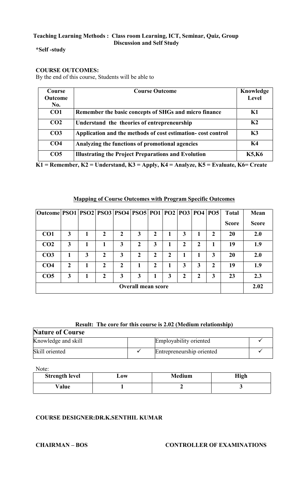#### **\*Self -study**

#### **COURSE OUTCOMES:**

By the end of this course, Students will be able to

| Course          | <b>Course Outcome</b>                                       | Knowledge      |
|-----------------|-------------------------------------------------------------|----------------|
| <b>Outcome</b>  |                                                             | Level          |
| No.             |                                                             |                |
| CO <sub>1</sub> | Remember the basic concepts of SHGs and micro finance       | K1             |
| CO <sub>2</sub> | Understand the theories of entrepreneurship                 | K <sub>2</sub> |
| CO <sub>3</sub> | Application and the methods of cost estimation-cost control | K3             |
| CO <sub>4</sub> | Analyzing the functions of promotional agencies             | K4             |
| CO <sub>5</sub> | <b>Illustrating the Project Preparations and Evolution</b>  | <b>K5,K6</b>   |

**K1 = Remember, K2 = Understand, K3 = Apply, K4 = Analyze, K5 = Evaluate, K6= Create**

| Outcome   PSO1   PSO2   PSO3   PSO4   PSO5   PO1   PO2   PO3   PO4   PO5 |                           |   |              |                  |                  |   |   |   |   |              | <b>Total</b> | Mean         |
|--------------------------------------------------------------------------|---------------------------|---|--------------|------------------|------------------|---|---|---|---|--------------|--------------|--------------|
|                                                                          |                           |   |              |                  |                  |   |   |   |   |              | <b>Score</b> | <b>Score</b> |
| CO <sub>1</sub>                                                          | 3                         |   | 2            | 2                | 3                | 2 |   | 3 |   | 2            | 20           | 2.0          |
| CO <sub>2</sub>                                                          | 3                         |   |              | 3                | $\boldsymbol{2}$ | 3 |   | 2 | 2 |              | 19           | 1.9          |
| CO <sub>3</sub>                                                          |                           | 3 | 2            | 3                | $\mathbf 2$      | 2 | 2 |   |   | 3            | 20           | 2.0          |
| CO <sub>4</sub>                                                          | 2                         |   | $\mathbf{2}$ | $\boldsymbol{2}$ |                  | 2 |   | 3 | 3 | $\mathbf{2}$ | 19           | 1.9          |
| CO <sub>5</sub>                                                          | 3                         |   | $\mathbf{C}$ | 3                | 3                | 1 | 3 | 2 | 2 | 3            | 23           | 2.3          |
|                                                                          | <b>Overall mean score</b> |   |              |                  |                  |   |   |   |   |              |              | 2.02         |

#### **Mapping of Course Outcomes with Program Specific Outcomes**

### **Result: The core for this course is 2.02 (Medium relationship)**

| <b>Nature of Course</b> |                           |  |
|-------------------------|---------------------------|--|
| Knowledge and skill     | Employability oriented    |  |
| Skill oriented          | Entrepreneurship oriented |  |

Note:

| <b>Strength level</b> | $\mathbf{\omega}$ ow | <b>Medium</b> | High |
|-----------------------|----------------------|---------------|------|
| Value                 |                      |               |      |

### **COURSE DESIGNER:DR.K.SENTHIL KUMAR**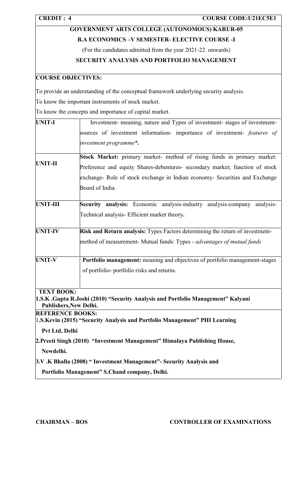| <b>CREDIT: 4</b>        | <b>COURSE CODE:U21EC5E1</b>                                                                                       |  |  |  |  |  |  |
|-------------------------|-------------------------------------------------------------------------------------------------------------------|--|--|--|--|--|--|
|                         | <b>GOVERNMENT ARTS COLLEGE (AUTONOMOUS) KARUR-05</b>                                                              |  |  |  |  |  |  |
|                         | <b>B.A ECONOMICS -V SEMESTER- ELECTIVE COURSE -I</b>                                                              |  |  |  |  |  |  |
|                         | (For the candidates admitted from the year 2021-22 onwards)                                                       |  |  |  |  |  |  |
|                         | SECURITY ANALYSIS AND PORTFOLIO MANAGEMENT                                                                        |  |  |  |  |  |  |
|                         | <b>COURSE OBJECTIVES:</b>                                                                                         |  |  |  |  |  |  |
|                         | To provide an understanding of the conceptual framework underlying security analysis.                             |  |  |  |  |  |  |
|                         | To know the important instruments of stock market.                                                                |  |  |  |  |  |  |
|                         | To know the concepts and importance of capital market.                                                            |  |  |  |  |  |  |
| <b>UNIT-I</b>           | Investment- meaning, nature and Types of investment- stages of investment-                                        |  |  |  |  |  |  |
|                         | sources of investment information- importance of investment- features of                                          |  |  |  |  |  |  |
|                         | investment programme*.                                                                                            |  |  |  |  |  |  |
|                         | Stock Market: primary market- method of rising funds in primary market:                                           |  |  |  |  |  |  |
| <b>UNIT-II</b>          | Preference and equity Shares-debentures- secondary market; function of stock                                      |  |  |  |  |  |  |
|                         | exchange- Role of stock exchange in Indian economy- Securities and Exchange                                       |  |  |  |  |  |  |
|                         | Board of India.                                                                                                   |  |  |  |  |  |  |
|                         |                                                                                                                   |  |  |  |  |  |  |
| <b>UNIT-III</b>         | Security analysis: Economic analysis-industry analysis-company analysis-                                          |  |  |  |  |  |  |
|                         | Technical analysis- Efficient market theory.                                                                      |  |  |  |  |  |  |
| <b>UNIT-IV</b>          | Risk and Return analysis: Types Factors determining the return of investment-                                     |  |  |  |  |  |  |
|                         | method of measurement- Mutual funds: Types - <i>advantages of mutual funds</i>                                    |  |  |  |  |  |  |
|                         |                                                                                                                   |  |  |  |  |  |  |
| <b>UNIT-V</b>           | Portfolio management: meaning and objectives of portfolio management-stages                                       |  |  |  |  |  |  |
|                         | of portfolio-portfolio risks and returns.                                                                         |  |  |  |  |  |  |
| <b>TEXT BOOK:</b>       |                                                                                                                   |  |  |  |  |  |  |
|                         | 1.S.K. Gupta R.Joshi (2010) "Security Analysis and Portfolio Management" Kalyani<br><b>Publishers, New Delhi.</b> |  |  |  |  |  |  |
| <b>REFERENCE BOOKS:</b> |                                                                                                                   |  |  |  |  |  |  |
|                         | 1.S. Kevin (2015) "Security Analysis and Portfolio Management" PHI Learning                                       |  |  |  |  |  |  |
| Pvt Ltd, Delhi          |                                                                                                                   |  |  |  |  |  |  |
| Newdelhi.               | 2. Preeti Singh (2010) "Investment Management" Himalaya Publishing House,                                         |  |  |  |  |  |  |
|                         | 3.V.K Bhalla (2008) "Investment Management"- Security Analysis and                                                |  |  |  |  |  |  |
|                         |                                                                                                                   |  |  |  |  |  |  |
|                         | Portfolio Management" S.Chand company, Delhi.                                                                     |  |  |  |  |  |  |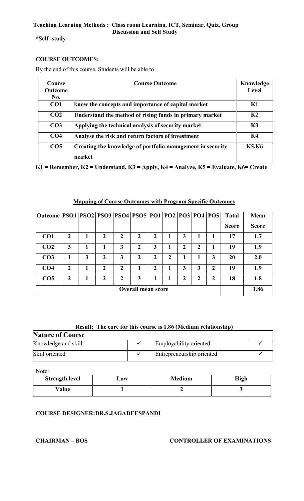**\*Self -study**

#### **COURSE OUTCOMES:**

By the end of this course, Students will be able to

| Course          | <b>Course Outcome</b>                                      | Knowledge    |
|-----------------|------------------------------------------------------------|--------------|
| <b>Outcome</b>  |                                                            | <b>Level</b> |
| No.             |                                                            |              |
| CO <sub>1</sub> | know the concepts and importance of capital market         | K1           |
| CO <sub>2</sub> | Understand the method of rising funds in primary market    | K2           |
| CO <sub>3</sub> | Applying the technical analysis of security market         | K3           |
| CO <sub>4</sub> | Analyse the risk and return factors of investment          | K4           |
| CO <sub>5</sub> | Creating the knowledge of portfolio management in security | <b>K5,K6</b> |
|                 | market                                                     |              |

**K1 = Remember, K2 = Understand, K3 = Apply, K4 = Analyze, K5 = Evaluate, K6= Create**

#### **Mapping of Course Outcomes with Program Specific Outcomes**

| Outcome   PSO1   PSO2   PSO3   PSO4   PSO5   PO1   PO2   PO3   PO4   PO5 |                |   |              |             |              |   |   |             |   |                | <b>Total</b> | Mean         |
|--------------------------------------------------------------------------|----------------|---|--------------|-------------|--------------|---|---|-------------|---|----------------|--------------|--------------|
|                                                                          |                |   |              |             |              |   |   |             |   |                | <b>Score</b> | <b>Score</b> |
| CO <sub>1</sub>                                                          | $\mathbf{2}$   |   | 2            | 2           | $\mathbf{2}$ | 2 |   | 3           |   |                | 17           | 1.7          |
| CO <sub>2</sub>                                                          | 3              |   |              | 3           | 2            | 3 |   | $\mathbf 2$ | 2 |                | 19           | 1.9          |
| CO <sub>3</sub>                                                          |                | 3 | $\mathbf{2}$ | 3           | $\mathbf{2}$ | 2 | 2 |             |   | 3              | 20           | 2.0          |
| CO <sub>4</sub>                                                          | $\overline{2}$ |   | 2            | 2           |              | 2 |   | 3           | 3 | $\overline{2}$ | 19           | 1.9          |
| CO <sub>5</sub>                                                          | 2              |   | 2            | $\mathbf 2$ | 3            |   |   | 2           | 2 | 2              | 18           | 1.8          |
| <b>Overall mean score</b>                                                |                |   |              |             |              |   |   |             |   |                |              | 1.86         |

#### **Result: The core for this course is 1.86 (Medium relationship)**

| <b>Nature of Course</b> |                           |  |
|-------------------------|---------------------------|--|
| Knowledge and skill     | Employability oriented    |  |
| Skill oriented          | Entrepreneurship oriented |  |

Note:

| <b>Strength level</b> | $-0W$ | <b>Medium</b> | High |
|-----------------------|-------|---------------|------|
| Value                 |       |               |      |

#### **COURSE DESIGNER:DR.S.JAGADEESPANDI**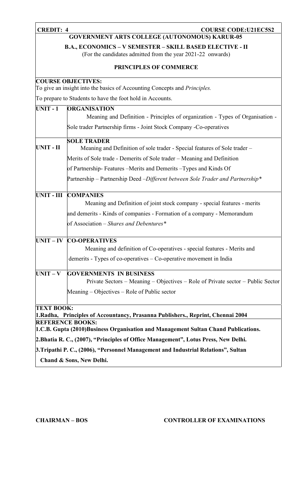#### **CREDIT: 4 COURSE COURSE CODE:U21EC5S2**

### **GOVERNMENT ARTS COLLEGE (AUTONOMOUS) KARUR-05**

**B.A., ECONOMICS – V SEMESTER – SKILL BASED ELECTIVE - II**

(For the candidates admitted from the year 2021-22 onwards)

#### **PRINCIPLES OF COMMERCE**

|  | <b>COURSE OBJECTIVES:</b> |  |  |  |  |
|--|---------------------------|--|--|--|--|
|  |                           |  |  |  |  |

To give an insight into the basics of Accounting Concepts and *Principles.*

To prepare to Students to have the foot hold in Accounts.

| <b>UNIT-1</b>     | <b>ORGANISATION</b>                                                                                         |
|-------------------|-------------------------------------------------------------------------------------------------------------|
|                   | Meaning and Definition - Principles of organization - Types of Organisation -                               |
|                   | Sole trader Partnership firms - Joint Stock Company - Co-operatives                                         |
| UNIT - II         | <b>SOLE TRADER</b>                                                                                          |
|                   | Meaning and Definition of sole trader - Special features of Sole trader -                                   |
|                   | Merits of Sole trade - Demerits of Sole trader – Meaning and Definition                                     |
|                   | of Partnership-Features – Merits and Demerits – Types and Kinds Of                                          |
|                   | Partnership – Partnership Deed – Different between Sole Trader and Partnership*                             |
| <b>UNIT - III</b> | <b>COMPANIES</b>                                                                                            |
|                   | Meaning and Definition of joint stock company - special features - merits                                   |
|                   | and demerits - Kinds of companies - Formation of a company - Memorandum                                     |
|                   | of Association - Shares and Debentures*                                                                     |
| $UNIT - IV$       | <b>CO-OPERATIVES</b>                                                                                        |
|                   | Meaning and definition of Co-operatives - special features - Merits and                                     |
|                   | demerits - Types of co-operatives – Co-operative movement in India                                          |
| $UNIT - V$        | <b>GOVERNMENTS IN BUSINESS</b>                                                                              |
|                   | Private Sectors – Meaning – Objectives – Role of Private sector – Public Sector                             |
|                   | Meaning – Objectives – Role of Public sector                                                                |
| <b>TEXT BOOK:</b> |                                                                                                             |
|                   | 1. Radha, Principles of Accountancy, Prasanna Publishers., Reprint, Chennai 2004<br><b>REFERENCE BOOKS:</b> |
|                   | 1.C.B. Gupta (2010)Business Organisation and Management Sultan Chand Publications.                          |
|                   | 2. Bhatia R. C., (2007), "Principles of Office Management", Lotus Press, New Delhi.                         |
|                   |                                                                                                             |
|                   | 3. Tripathi P. C., (2006), "Personnel Management and Industrial Relations", Sultan                          |
|                   | Chand & Sons, New Delhi.                                                                                    |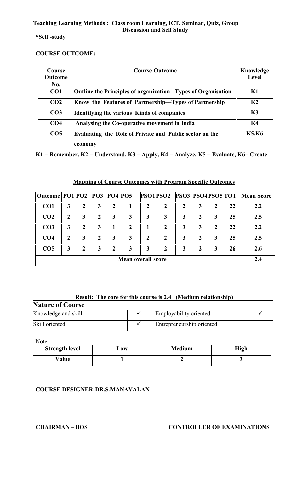#### **\*Self -study**

#### **COURSE OUTCOME:**

| <b>Course</b>   | <b>Course Outcome</b>                                                 | Knowledge      |
|-----------------|-----------------------------------------------------------------------|----------------|
| Outcome         |                                                                       | Level          |
| No.             |                                                                       |                |
| CO <sub>1</sub> | <b>Outline the Principles of organization - Types of Organisation</b> | K1             |
| CO <sub>2</sub> | Know the Features of Partnership-Types of Partnership                 | K <sub>2</sub> |
| CO <sub>3</sub> | <b>Identifying the various Kinds of companies</b>                     | K3             |
| CO <sub>4</sub> | Analysing the Co-operative movement in India                          | K4             |
| CO <sub>5</sub> | Evaluating the Role of Private and Public sector on the               | <b>K5,K6</b>   |
|                 | economy                                                               |                |

**K1 = Remember, K2 = Understand, K3 = Apply, K4 = Analyze, K5 = Evaluate, K6= Create**

### **Mapping of Course Outcomes with Program Specific Outcomes**

| Outcome PO1 PO2 PO3 PO4 PO5 |   |              |   |   |   |                           | PSO1PSO2 | <b>PSO3 PSO4PSO5 TOT</b> |   |   |    | <b>Mean Score</b> |
|-----------------------------|---|--------------|---|---|---|---------------------------|----------|--------------------------|---|---|----|-------------------|
| CO <sub>1</sub>             | 3 | 2            | 3 | 2 |   | າ                         | 2        | $\overline{2}$           | 3 |   | 22 | 2.2               |
| CO <sub>2</sub>             | 2 | 3            |   | 3 | 3 | 3                         | 3        | 3                        | 2 | 3 | 25 | 2.5               |
| CO <sub>3</sub>             | 3 | $\mathbf{2}$ | 3 |   | 2 |                           | 2        | 3                        | 3 | י | 22 | 2.2               |
| CO <sub>4</sub>             | 2 | 3            | ּ | 3 | 3 | 2                         | 2        | 3                        | 2 | 3 | 25 | 2.5               |
| CO <sub>5</sub>             | 3 | 2            | 3 | 2 | 3 | 3                         | 2        | 3                        | 2 | 3 | 26 | 2.6               |
|                             |   |              |   |   |   | <b>Mean overall score</b> |          |                          |   |   |    | 2.4               |

#### **Result: The core for this course is 2.4 (Medium relationship)**

| <b>Nature of Course</b> |  |                           |  |  |  |  |
|-------------------------|--|---------------------------|--|--|--|--|
| Knowledge and skill     |  | Employability oriented    |  |  |  |  |
| Skill oriented          |  | Entrepreneurship oriented |  |  |  |  |

Note:

| <b>Strength level</b> | Low | <b>Medium</b> | <b>High</b> |
|-----------------------|-----|---------------|-------------|
| Value                 |     |               |             |

#### **COURSE DESIGNER:DR.S.MANAVALAN**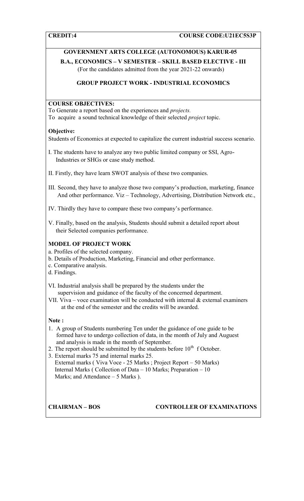#### **GOVERNMENT ARTS COLLEGE (AUTONOMOUS) KARUR-05**

**B.A., ECONOMICS – V SEMESTER – SKILL BASED ELECTIVE - III** (For the candidates admitted from the year 2021-22 onwards)

#### **GROUP PROJECT WORK - INDUSTRIAL ECONOMICS**

#### **COURSE OBJECTIVES:**

To Generate a report based on the experiences and *projects.*

To acquire a sound technical knowledge of their selected *project* topic.

#### **Objective:**

Students of Economics at expected to capitalize the current industrial success scenario.

- I. The students have to analyze any two public limited company or SSI, Agro-Industries or SHGs or case study method.
- II. Firstly, they have learn SWOT analysis of these two companies.
- III. Second, they have to analyze those two company's production, marketing, finance And other performance. Viz – Technology, Advertising, Distribution Network etc.,

IV. Thirdly they have to compare these two company's performance.

V. Finally, based on the analysis, Students should submit a detailed report about their Selected companies performance.

#### **MODEL OF PROJECT WORK**

- a. Profiles of the selected company.
- b. Details of Production, Marketing, Financial and other performance.
- c. Comparative analysis.
- d. Findings.
- VI. Industrial analysis shall be prepared by the students under the supervision and guidance of the faculty of the concerned department.
- VII. Viva voce examination will be conducted with internal  $\&$  external examiners at the end of the semester and the credits will be awarded.

#### **Note :**

- 1. A group of Students numbering Ten under the guidance of one guide to be formed have to undergo collection of data, in the month of July and Auguest and analysis is made in the month of September.
- 2. The report should be submitted by the students before  $10<sup>th</sup>$  f October.
- 3. External marks 75 and internal marks 25.
- External marks ( Viva Voce 25 Marks ; Project Report 50 Marks) Internal Marks ( Collection of Data – 10 Marks; Preparation – 10 Marks; and Attendance – 5 Marks ).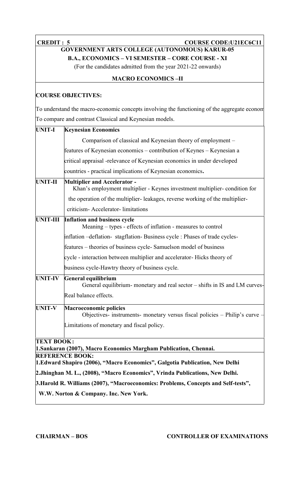**CREDIT : 5 COURSE CODE:U21EC6C11** 

#### **GOVERNMENT ARTS COLLEGE (AUTONOMOUS) KARUR-05 B.A., ECONOMICS – VI SEMESTER – CORE COURSE - XI**

(For the candidates admitted from the year 2021-22 onwards)

#### **MACRO ECONOMICS –II**

#### **COURSE OBJECTIVES:**

To understand the macro-economic concepts involving the functioning of the aggregate econom To compare and contrast Classical and Keynesian models.

| <b>UNIT-I</b>     | <b>Keynesian Economics</b>                                                                                       |
|-------------------|------------------------------------------------------------------------------------------------------------------|
|                   | Comparison of classical and Keynesian theory of employment -                                                     |
|                   | features of Keynesian economics – contribution of Keynes – Keynesian a                                           |
|                   | critical appraisal -relevance of Keynesian economics in under developed                                          |
|                   | countries - practical implications of Keynesian economics.                                                       |
| <b>UNIT-II</b>    | <b>Multiplier and Accelerator -</b><br>Khan's employment multiplier - Keynes investment multiplier-condition for |
|                   | the operation of the multiplier-leakages, reverse working of the multiplier-                                     |
|                   | criticism- Accelerator-limitations                                                                               |
| <b>UNIT-III</b>   | <b>Inflation and business cycle</b><br>Meaning – types - effects of inflation - measures to control              |
|                   | inflation - deflation- stagflation- Business cycle : Phases of trade cycles-                                     |
|                   | features – theories of business cycle-Samuelson model of business                                                |
|                   | cycle - interaction between multiplier and accelerator-Hicks theory of                                           |
|                   | business cycle-Hawtry theory of business cycle.                                                                  |
| <b>UNIT-IV</b>    | General equilibrium<br>General equilibrium- monetary and real sector – shifts in IS and LM curves-               |
|                   | Real balance effects.                                                                                            |
| <b>UNIT-V</b>     | <b>Macroeconomic policies</b><br>Objectives- instruments- monetary versus fiscal policies – Philip's curve       |
|                   | Limitations of monetary and fiscal policy.                                                                       |
| <b>TEXT BOOK:</b> | 1. Sankaran (2007), Macro Economics Margham Publication, Chennai.                                                |
|                   | <b>REFERENCE BOOK:</b>                                                                                           |
|                   | 1. Edward Shapiro (2006), "Macro Economics", Galgotia Publication, New Delhi                                     |
|                   | 2. Jhinghan M. L., (2008), "Macro Economics", Vrinda Publications, New Delhi.                                    |
|                   | 3. Harold R. Williams (2007), "Macroeconomics: Problems, Concepts and Self-tests",                               |
|                   | W.W. Norton & Company. Inc. New York.                                                                            |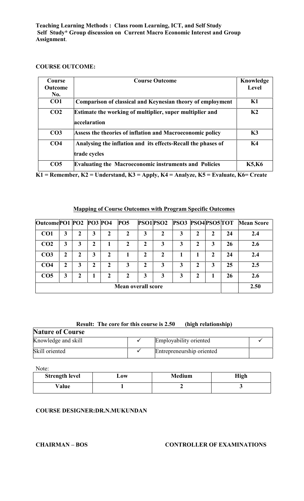#### **COURSE OUTCOME:**

| Course<br><b>Outcome</b><br>No. | <b>Course Outcome</b>                                                        | Knowledge<br><b>Level</b> |
|---------------------------------|------------------------------------------------------------------------------|---------------------------|
| CO <sub>1</sub>                 | Comparison of classical and Keynesian theory of employment                   | K1                        |
| CO <sub>2</sub>                 | Estimate the working of multiplier, super multiplier and<br>accelaration     | K <sub>2</sub>            |
| CO <sub>3</sub>                 | Assess the theories of inflation and Macroeconomic policy                    | K3                        |
| CO <sub>4</sub>                 | Analysing the inflation and its effects-Recall the phases of<br>trade cycles | K4                        |
| CO <sub>5</sub>                 | <b>Evaluating the Macroeconomic instruments and Policies</b>                 | <b>K5,K6</b>              |

**K1 = Remember, K2 = Understand, K3 = Apply, K4 = Analyze, K5 = Evaluate, K6= Create**

#### **Mapping of Course Outcomes with Program Specific Outcomes**

| Outcome PO1 PO2 PO3 PO4 |   |   |   |   | <b>PO5</b>                |             | PSO1PSO2 | <b>PSO3 PSO4PSO5TOT</b> |              |              |    | <b>Mean Score</b> |
|-------------------------|---|---|---|---|---------------------------|-------------|----------|-------------------------|--------------|--------------|----|-------------------|
| CO <sub>1</sub>         | 3 |   | 3 | 2 | 2                         | 3           | 2        | 3                       | 2            | 2            | 24 | 2.4               |
| CO <sub>2</sub>         | 3 |   | 2 |   | 2                         | 2           | 3        | 3                       | 2            | 3            | 26 | 2.6               |
| CO <sub>3</sub>         | າ |   | 3 | 2 |                           | $\mathbf 2$ | 2        |                         |              | $\mathbf{2}$ | 24 | 2.4               |
| CO <sub>4</sub>         |   | 3 | 2 | 2 | 3                         | 2           | 3        | 3                       | $\mathbf{2}$ | 3            | 25 | 2.5               |
| CO <sub>5</sub>         | 3 |   |   | 2 | 2                         | 3           | 3        | 3                       | 2            |              | 26 | 2.6               |
|                         |   |   |   |   | <b>Mean overall score</b> |             |          |                         |              |              |    | 2.50              |

#### **Result: The core for this course is 2.50 (high relationship)**

| <b>Nature of Course</b> |  |                           |  |  |  |  |  |
|-------------------------|--|---------------------------|--|--|--|--|--|
| Knowledge and skill     |  | Employability oriented    |  |  |  |  |  |
| Skill oriented          |  | Entrepreneurship oriented |  |  |  |  |  |

Note:

| <b>Strength level</b> | $\cup$ 0W | <b>Medium</b> | <b>High</b> |
|-----------------------|-----------|---------------|-------------|
| Value                 |           |               |             |

#### **COURSE DESIGNER:DR.N.MUKUNDAN**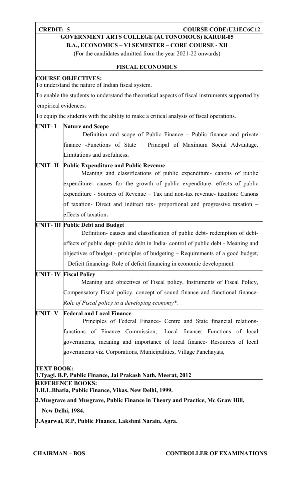#### **CREDIT: 5 COURSE CODE:U21EC6C12**

### **GOVERNMENT ARTS COLLEGE (AUTONOMOUS) KARUR-05**

**B.A., ECONOMICS – VI SEMESTER – CORE COURSE - XII**

(For the candidates admitted from the year 2021-22 onwards)

#### **FISCAL ECONOMICS**

#### **COURSE OBJECTIVES:**

To understand the nature of Indian fiscal system.

To enable the students to understand the theoretical aspects of fiscal instruments supported by empirical evidences.

To equip the students with the ability to make a critical analysis of fiscal operations.

### **UNIT- I Nature and Scope** Definition and scope of Public Finance – Public finance and private finance -Functions of State – Principal of Maximum Social Advantage, Limitations and usefulness**. UNIT -II Public Expenditure and Public Revenue** Meaning and classifications of public expenditure- canons of public expenditure- causes for the growth of public expenditure- effects of public expenditure - Sources of Revenue – Tax and non-tax revenue- taxation: Canons of taxation- Direct and indirect tax- proportional and progressive taxation – effects of taxation**. UNIT- III Public Debt and Budget** Definition- causes and classification of public debt- redemption of debt effects of public dept- public debt in India- control of public debt - Meaning and objectives of budget - principles of budgeting – Requirements of a good budget, – Deficit financing- Role of deficit financing in economic development*.* **UNIT- IV Fiscal Policy** Meaning and objectives of Fiscal policy, Instruments of Fiscal Policy, Compensatory Fiscal policy, concept of sound finance and functional finance- *Role of Fiscal policy in a developing economy\*.* **UNIT- V Federal and Local Finance** Principles of Federal Finance- Centre and State financial relationsfunctions of Finance Commission, -Local finance: Functions of local governments, meaning and importance of local finance- Resources of local governments viz. Corporations, Municipalities, Village Panchayats, **TEXT BOOK: 1.Tyagi. B.P, Public Finance, Jai Prakash Nath, Meerat, 2012 REFERENCE BOOKS: 1.H.L.Bhatia, Public Finance, Vikas, New Delhi, 1999. 2.Musgrave and Musgrave, Public Finance in Theory and Practice, Mc Graw Hill, New Delhi, 1984. 3.Agarwal, R.P, Public Finance, Lakshmi Narain, Agra.**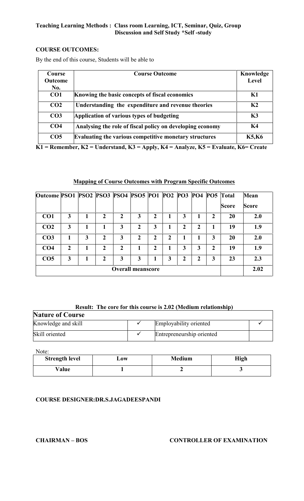#### **COURSE OUTCOMES:**

By the end of this course, Students will be able to

| Course          | <b>Course Outcome</b>                                     | Knowledge      |
|-----------------|-----------------------------------------------------------|----------------|
| <b>Outcome</b>  |                                                           | Level          |
| No.             |                                                           |                |
| CO1             | Knowing the basic concepts of fiscal economics            | K1             |
| CO <sub>2</sub> | Understanding the expenditure and revenue theories        | K <sub>2</sub> |
| CO <sub>3</sub> | Application of various types of budgeting                 | K3             |
| CO <sub>4</sub> | Analysing the role of fiscal policy on developing economy | K4             |
| CO <sub>5</sub> | Evaluating the various competitive monetary structures    | <b>K5,K6</b>   |

**K1 = Remember, K2 = Understand, K3 = Apply, K4 = Analyze, K5 = Evaluate, K6= Create**

#### **Mapping of Course Outcomes with Program Specific Outcomes**

| Outcome PSO1 PSO2 PSO3 PSO4 PSO5 PO1 PO2 PO3 PO4 PO5 Total |                |   |              |                          |   |              |   |   |   |   |              | <b>Mean</b>  |
|------------------------------------------------------------|----------------|---|--------------|--------------------------|---|--------------|---|---|---|---|--------------|--------------|
|                                                            |                |   |              |                          |   |              |   |   |   |   | <b>Score</b> | <b>Score</b> |
| CO <sub>1</sub>                                            | 3              |   | $\mathbf{2}$ | $\mathbf{2}$             | 3 | 2            |   | 3 |   | 2 | 20           | 2.0          |
| CO <sub>2</sub>                                            | 3              |   |              | 3                        | 2 | 3            |   | 2 | 2 |   | 19           | 1.9          |
| CO <sub>3</sub>                                            | 1              | 3 | 2            | 3                        | 2 | $\mathbf{2}$ | 2 |   |   | 3 | 20           | 2.0          |
| CO <sub>4</sub>                                            | $\mathfrak{D}$ |   | $\mathbf{2}$ | $\overline{2}$           |   | $\mathbf 2$  |   | 3 | 3 | 2 | 19           | 1.9          |
| CO <sub>5</sub>                                            | 3              |   | $\mathbf{2}$ | 3                        | 3 |              | 3 | 2 | າ | 3 | 23           | 2.3          |
|                                                            |                |   |              | <b>Overall meanscore</b> |   |              |   |   |   |   |              | 2.02         |

#### **Result: The core for this course is 2.02 (Medium relationship)**

| Result: The core for this course is 2.02 (Medium relationship) |  |                           |  |  |  |  |
|----------------------------------------------------------------|--|---------------------------|--|--|--|--|
| <b>Nature of Course</b>                                        |  |                           |  |  |  |  |
| Knowledge and skill                                            |  | Employability oriented    |  |  |  |  |
| Skill oriented                                                 |  | Entrepreneurship oriented |  |  |  |  |

Note:

| <b>Strength level</b> | $\mathbf{J}$ ow | <b>Medium</b> | High |
|-----------------------|-----------------|---------------|------|
| Value                 |                 |               |      |

#### **COURSE DESIGNER:DR.S.JAGADEESPANDI**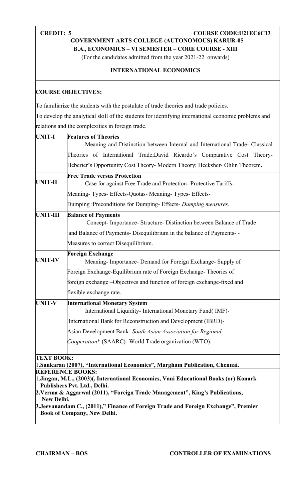### **CREDIT: 5 COURSE COURSE CODE:U21EC6C13**

**GOVERNMENT ARTS COLLEGE (AUTONOMOUS) KARUR-05**

**B.A., ECONOMICS – VI SEMESTER – CORE COURSE - XIII**

(For the candidates admitted from the year 2021-22 onwards)

#### **INTERNATIONAL ECONOMICS**

#### **COURSE OBJECTIVES:**

To familiarize the students with the postulate of trade theories and trade policies.

To develop the analytical skill of the students for identifying international economic problems and relations and the complexities in foreign trade.

| <b>UNIT-I</b>     | <b>Features of Theories</b>                                                                                  |  |  |  |  |  |
|-------------------|--------------------------------------------------------------------------------------------------------------|--|--|--|--|--|
|                   | Meaning and Distinction between Internal and International Trade- Classical                                  |  |  |  |  |  |
|                   | Theories of International Trade; David Ricardo's Comparative Cost Theory-                                    |  |  |  |  |  |
|                   | Heberier's Opportunity Cost Theory- Modern Theory; Hecksher- Ohlin Theorem.                                  |  |  |  |  |  |
|                   | <b>Free Trade versus Protection</b>                                                                          |  |  |  |  |  |
| <b>UNIT-II</b>    | Case for against Free Trade and Protection-Protective Tariffs-                                               |  |  |  |  |  |
|                   | Meaning-Types-Effects-Quotas-Meaning-Types-Effects-                                                          |  |  |  |  |  |
|                   | Dumping: Preconditions for Dumping-Effects- Dumping measures.                                                |  |  |  |  |  |
| <b>UNIT-III</b>   | <b>Balance of Payments</b><br>Concept-Importance-Structure-Distinction between Balance of Trade              |  |  |  |  |  |
|                   | and Balance of Payments- Disequilibrium in the balance of Payments-                                          |  |  |  |  |  |
|                   | Measures to correct Disequilibrium.                                                                          |  |  |  |  |  |
|                   | <b>Foreign Exchange</b>                                                                                      |  |  |  |  |  |
| <b>UNIT-IV</b>    | Meaning-Importance-Demand for Foreign Exchange-Supply of                                                     |  |  |  |  |  |
|                   | Foreign Exchange-Equilibrium rate of Foreign Exchange-Theories of                                            |  |  |  |  |  |
|                   | foreign exchange -Objectives and function of foreign exchange-fixed and                                      |  |  |  |  |  |
|                   | flexible exchange rate.                                                                                      |  |  |  |  |  |
| <b>UNIT-V</b>     | <b>International Monetary System</b><br>International Liquidity- International Monetary Fund(IMF)-           |  |  |  |  |  |
|                   | International Bank for Reconstruction and Development (IBRD)-                                                |  |  |  |  |  |
|                   | Asian Development Bank- South Asian Association for Regional                                                 |  |  |  |  |  |
|                   | Cooperation* (SAARC)- World Trade organization (WTO).                                                        |  |  |  |  |  |
| <b>TEXT BOOK:</b> |                                                                                                              |  |  |  |  |  |
|                   | 1. Sankaran (2007), "International Economics", Margham Publication, Chennai.<br><b>REFERENCE BOOKS:</b>      |  |  |  |  |  |
|                   | 1.Jingan, M.L., (2003)(, International Economics, Vani Educational Books (or) Konark                         |  |  |  |  |  |
|                   | Publishers Pvt. Ltd., Delhi.<br>2. Verma & Aggarwal (2011), "Foreign Trade Management", King's Publications, |  |  |  |  |  |
| New Delhi.        |                                                                                                              |  |  |  |  |  |
|                   | 3. Jeevanandam C., (2011)," Finance of Foreign Trade and Foreign Exchange", Premier                          |  |  |  |  |  |
|                   | <b>Book of Company, New Delhi.</b>                                                                           |  |  |  |  |  |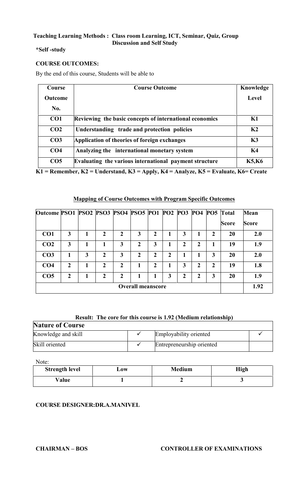#### **\*Self -study**

#### **COURSE OUTCOMES:**

By the end of this course, Students will be able to

| Course          | <b>Course Outcome</b>                                   | Knowledge      |
|-----------------|---------------------------------------------------------|----------------|
| <b>Outcome</b>  |                                                         | Level          |
| No.             |                                                         |                |
| CO <sub>1</sub> | Reviewing the basic concepts of international economics | K1             |
| CO <sub>2</sub> | Understanding trade and protection policies             | K <sub>2</sub> |
| CO <sub>3</sub> | Application of theories of foreign exchanges            | K3             |
| CO <sub>4</sub> | Analyzing the international monetary system             | K4             |
| CO <sub>5</sub> | Evaluating the various international payment structure  | <b>K5,K6</b>   |

**K1 = Remember, K2 = Understand, K3 = Apply, K4 = Analyze, K5 = Evaluate, K6= Create**

#### **Mapping of Course Outcomes with Program Specific Outcomes**

| Outcome PSO1 PSO2 PSO3 PSO4 PSO5 PO1 PO2 PO3 PO4 PO5 Total |              |   |                  |                |   |              |   |   |      |             |              | <b>Mean</b>  |
|------------------------------------------------------------|--------------|---|------------------|----------------|---|--------------|---|---|------|-------------|--------------|--------------|
|                                                            |              |   |                  |                |   |              |   |   |      |             | <b>Score</b> | <b>Score</b> |
| CO <sub>1</sub>                                            | 3            |   | 2                | $\mathbf{2}$   | 3 | 2            |   | 3 |      | 2           | 20           | 2.0          |
| CO <sub>2</sub>                                            | 3            |   |                  | 3              | 2 | 3            |   | 2 | ∍    |             | 19           | 1.9          |
| CO <sub>3</sub>                                            |              | 3 | $\mathbf{2}$     | 3              | 2 | 2            | 2 |   |      | 3           | 20           | 2.0          |
| CO <sub>4</sub>                                            | $\mathbf{2}$ |   | $\mathbf{2}$     | $\overline{2}$ |   | $\mathbf{2}$ |   | 3 | າ    | $\mathbf 2$ | 19           | 1.8          |
| CO <sub>5</sub>                                            | $\mathbf{2}$ |   | $\boldsymbol{2}$ | $\overline{2}$ |   |              | 3 | 2 | າ    | 3           | 20           | 1.9          |
| <b>Overall meanscore</b>                                   |              |   |                  |                |   |              |   |   | 1.92 |             |              |              |

#### **Result: The core for this course is 1.92 (Medium relationship)**

| <b>Nature of Course</b> |  |                           |  |  |  |
|-------------------------|--|---------------------------|--|--|--|
| Knowledge and skill     |  | Employability oriented    |  |  |  |
| Skill oriented          |  | Entrepreneurship oriented |  |  |  |

Note:

| <b>Strength level</b> | 10W | <b>Medium</b> | <b>High</b> |
|-----------------------|-----|---------------|-------------|
| Value                 |     |               |             |

#### **COURSE DESIGNER:DR.A.MANIVEL**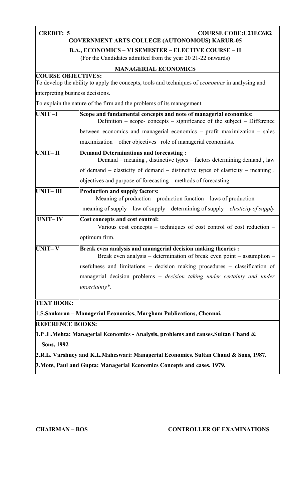### **CREDIT: 5 COURSE CODE:U21EC6E2**

### **GOVERNMENT ARTS COLLEGE (AUTONOMOUS) KARUR-05**

**B.A., ECONOMICS – VI SEMESTER – ELECTIVE COURSE – II**

(For the Candidates admitted from the year 20 21-22 onwards)

#### **MANAGERIAL ECONOMICS**

### **COURSE OBJECTIVES:**

To develop the ability to apply the concepts, tools and techniques of *economics* in analysing and interpreting business decisions.

To explain the nature of the firm and the problems of its management

| UNIT-I                  | Scope and fundamental concepts and note of managerial economics:<br>Definition – scope- concepts – significance of the subject – Difference |
|-------------------------|---------------------------------------------------------------------------------------------------------------------------------------------|
|                         | between economics and managerial economics – profit maximization – sales                                                                    |
|                         | maximization – other objectives –role of managerial economists.                                                                             |
| UNIT-II                 | <b>Demand Determinations and forecasting:</b><br>Demand – meaning, distinctive types – factors determining demand, law                      |
|                         | of demand $-$ elasticity of demand $-$ distinctive types of elasticity $-$ meaning,                                                         |
|                         | objectives and purpose of forecasting – methods of forecasting.                                                                             |
| <b>UNIT-III</b>         | <b>Production and supply factors:</b><br>Meaning of production – production function – laws of production –                                 |
|                         | meaning of supply – law of supply – determining of supply – <i>elasticity of supply</i>                                                     |
| <b>UNIT-IV</b>          | Cost concepts and cost control:<br>Various cost concepts – techniques of cost control of cost reduction –                                   |
|                         | optimum firm.                                                                                                                               |
| <b>UNIT-V</b>           | Break even analysis and managerial decision making theories :<br>Break even analysis – determination of break even point – assumption –     |
|                         | usefulness and limitations – decision making procedures – classification of                                                                 |
|                         | managerial decision problems – decision taking under certainty and under<br>uncertainty*.                                                   |
| <b>TEXT BOOK:</b>       |                                                                                                                                             |
|                         | 1.S.Sankaran – Managerial Economics, Margham Publications, Chennai.                                                                         |
| <b>REFERENCE BOOKS:</b> |                                                                                                                                             |
|                         |                                                                                                                                             |
|                         | 1.P.L.Mehta: Managerial Economics - Analysis, problems and causes.Sultan Chand &                                                            |

**Sons, 1992**

**2.R.L. Varshney and K.L.Maheswari: Managerial Economics. Sultan Chand & Sons, 1987.**

**3.Mote, Paul and Gupta: Managerial Economics Concepts and cases. 1979.**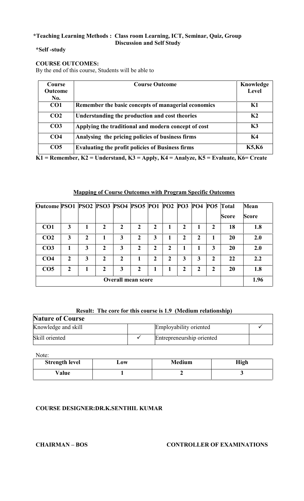#### **\*Self -study**

#### **COURSE OUTCOMES:**

By the end of this course, Students will be able to

| <b>Course</b>   | <b>Course Outcome</b>                                   | Knowledge      |
|-----------------|---------------------------------------------------------|----------------|
| Outcome         |                                                         | Level          |
| No.             |                                                         |                |
| CO <sub>1</sub> | Remember the basic concepts of managerial economics     | K1             |
| CO <sub>2</sub> | Understanding the production and cost theories          | K <sub>2</sub> |
| CO <sub>3</sub> | Applying the traditional and modern concept of cost     | K3             |
| CO <sub>4</sub> | Analysing the pricing policies of business firms        | K4             |
| CO <sub>5</sub> | <b>Evaluating the profit policies of Business firms</b> | <b>K5,K6</b>   |

**K1 = Remember, K2 = Understand, K3 = Apply, K4 = Analyze, K5 = Evaluate, K6= Create**

#### **Mapping of Course Outcomes with Program Specific Outcomes**

| Outcome PSO1 PSO2 PSO3 PSO4 PSO5 PO1 PO2 PO3 PO4 PO5 Total |                |   |               |                           |                |                |                |   |   |              |              | <b>Mean</b>  |
|------------------------------------------------------------|----------------|---|---------------|---------------------------|----------------|----------------|----------------|---|---|--------------|--------------|--------------|
|                                                            |                |   |               |                           |                |                |                |   |   |              | <b>Score</b> | <b>Score</b> |
| CO <sub>1</sub>                                            | 3              |   | $\mathbf{2}$  | $\mathbf{2}$              | 2              | $\overline{2}$ | 1              | 2 |   | $\mathbf 2$  | 18           | 1.8          |
| CO <sub>2</sub>                                            | 3              | 2 |               | 3                         | 2              | 3              |                | 2 | 2 |              | 20           | 2.0          |
| CO <sub>3</sub>                                            | 1              | 3 | $\mathbf{2}$  | 3                         | $\mathfrak{D}$ | $\overline{2}$ | $\overline{2}$ |   |   | 3            | 20           | 2.0          |
| CO <sub>4</sub>                                            | $\mathfrak{D}$ | 3 | $\mathcal{L}$ | 2                         |                | $\mathbf{2}$   | 2              | 3 | 3 | $\mathbf{2}$ | 22           | 2.2          |
| CO <sub>5</sub>                                            | $\mathbf{2}$   |   | $\mathcal{L}$ | 3                         | 2              | 1              | 1              | 2 | າ | 2            | 20           | 1.8          |
|                                                            |                |   |               | <b>Overall mean score</b> |                |                |                |   |   |              |              | 1.96         |

#### **Result: The core for this course is 1.9 (Medium relationship)**

| <b>Nature of Course</b> |  |                           |  |  |  |  |
|-------------------------|--|---------------------------|--|--|--|--|
| Knowledge and skill     |  | Employability oriented    |  |  |  |  |
| Skill oriented          |  | Entrepreneurship oriented |  |  |  |  |

Note:

| <b>Strength level</b> | $\mathbf{\omega}$ ow | <b>Medium</b> | High |
|-----------------------|----------------------|---------------|------|
| Value                 |                      |               |      |

#### **COURSE DESIGNER:DR.K.SENTHIL KUMAR**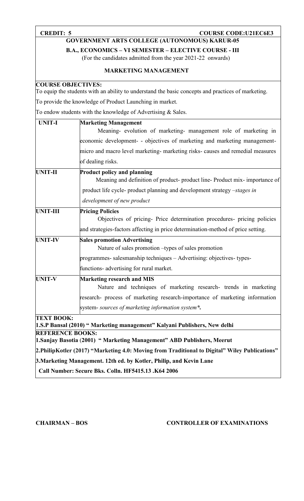# **CREDIT: 5 COURSE CODE:U21EC6E3**

### **GOVERNMENT ARTS COLLEGE (AUTONOMOUS) KARUR-05**

**B.A., ECONOMICS – VI SEMESTER – ELECTIVE COURSE - III**

(For the candidates admitted from the year 2021-22 onwards)

#### **MARKETING MANAGEMENT**

#### **COURSE OBJECTIVES:**

To equip the students with an ability to understand the basic concepts and practices of marketing.

To provide the knowledge of Product Launching in market.

To endow students with the knowledge of Advertising & Sales.

| <b>UNIT-I</b>           | <b>Marketing Management</b>                                                                                    |  |  |  |  |
|-------------------------|----------------------------------------------------------------------------------------------------------------|--|--|--|--|
|                         | Meaning- evolution of marketing- management role of marketing in                                               |  |  |  |  |
|                         | economic development- - objectives of marketing and marketing management-                                      |  |  |  |  |
|                         | micro and macro level marketing-marketing risks-causes and remedial measures                                   |  |  |  |  |
|                         | of dealing risks.                                                                                              |  |  |  |  |
| <b>UNIT-II</b>          | <b>Product policy and planning</b><br>Meaning and definition of product-product line-Product mix-importance of |  |  |  |  |
|                         | product life cycle- product planning and development strategy –stages in                                       |  |  |  |  |
|                         | development of new product                                                                                     |  |  |  |  |
| <b>UNIT-III</b>         | <b>Pricing Policies</b>                                                                                        |  |  |  |  |
|                         | Objectives of pricing- Price determination procedures- pricing policies                                        |  |  |  |  |
|                         | and strategies-factors affecting in price determination-method of price setting.                               |  |  |  |  |
| <b>UNIT-IV</b>          | <b>Sales promotion Advertising</b>                                                                             |  |  |  |  |
|                         | Nature of sales promotion -types of sales promotion                                                            |  |  |  |  |
|                         | programmes- salesmanship techniques – Advertising: objectives- types-                                          |  |  |  |  |
|                         | functions- advertising for rural market.                                                                       |  |  |  |  |
| <b>UNIT-V</b>           | <b>Marketing research and MIS</b>                                                                              |  |  |  |  |
|                         | Nature and techniques of marketing research- trends in marketing                                               |  |  |  |  |
|                         | research- process of marketing research-importance of marketing information                                    |  |  |  |  |
|                         | system- sources of marketing information system*.                                                              |  |  |  |  |
| <b>TEXT BOOK:</b>       |                                                                                                                |  |  |  |  |
|                         | 1.S.P Bansal (2010) "Marketing management" Kalyani Publishers, New delhi                                       |  |  |  |  |
| <b>REFERENCE BOOKS:</b> | 1 Sanjay Rasotja (2001) " Marketing Management" ARD Puhlishers Meerut                                          |  |  |  |  |

**1.Sanjay Basotia** (**2001) " Marketing Management" ABD Publishers, Meerut**

**2.PhilipKotler (2017) "Marketing 4.0: Moving from Traditional to Digital" Wiley Publications"**

**3.Marketing Management. 12th ed. by Kotler, Philip, and Kevin Lane**

**Call Number: Secure Bks. Colln. HF5415.13 .K64 2006**